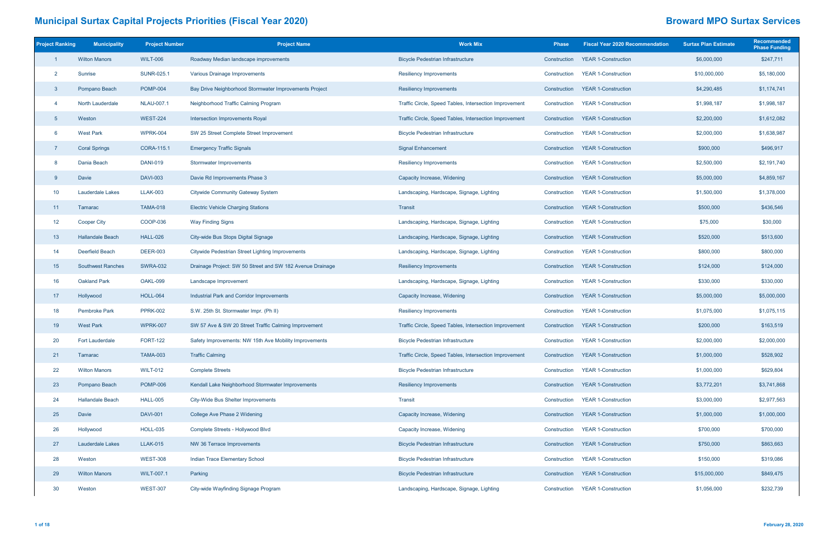| <b>Project Ranking</b> | <b>Municipality</b>      | <b>Project Number</b> | <b>Project Name</b>                                       | <b>Work Mix</b>                                        | <b>Phase</b> | <b>Fiscal Year 2020 Recommendation</b> | <b>Surtax Plan Estimate</b> | <b>Recommended</b><br><b>Phase Funding</b> |
|------------------------|--------------------------|-----------------------|-----------------------------------------------------------|--------------------------------------------------------|--------------|----------------------------------------|-----------------------------|--------------------------------------------|
|                        | <b>Wilton Manors</b>     | <b>WILT-006</b>       | Roadway Median landscape improvements                     | <b>Bicycle Pedestrian Infrastructure</b>               | Construction | <b>YEAR 1-Construction</b>             | \$6,000,000                 | \$247,711                                  |
| $\overline{2}$         | Sunrise                  | <b>SUNR-025.1</b>     | Various Drainage Improvements                             | <b>Resiliency Improvements</b>                         | Construction | <b>YEAR 1-Construction</b>             | \$10,000,000                | \$5,180,000                                |
| $\mathbf{3}$           | Pompano Beach            | <b>POMP-004</b>       | Bay Drive Neighborhood Stormwater Improvements Project    | <b>Resiliency Improvements</b>                         | Construction | <b>YEAR 1-Construction</b>             | \$4,290,485                 | \$1,174,741                                |
| $\overline{4}$         | North Lauderdale         | <b>NLAU-007.1</b>     | Neighborhood Traffic Calming Program                      | Traffic Circle, Speed Tables, Intersection Improvement | Construction | <b>YEAR 1-Construction</b>             | \$1,998,187                 | \$1,998,187                                |
| $5\overline{5}$        | Weston                   | <b>WEST-224</b>       | Intersection Improvements Royal                           | Traffic Circle, Speed Tables, Intersection Improvement | Construction | <b>YEAR 1-Construction</b>             | \$2,200,000                 | \$1,612,082                                |
| 6                      | <b>West Park</b>         | <b>WPRK-004</b>       | SW 25 Street Complete Street Improvement                  | <b>Bicycle Pedestrian Infrastructure</b>               | Construction | <b>YEAR 1-Construction</b>             | \$2,000,000                 | \$1,638,987                                |
| $\overline{7}$         | <b>Coral Springs</b>     | CORA-115.1            | <b>Emergency Traffic Signals</b>                          | <b>Signal Enhancement</b>                              | Construction | <b>YEAR 1-Construction</b>             | \$900,000                   | \$496,917                                  |
| 8                      | Dania Beach              | <b>DANI-019</b>       | Stormwater Improvements                                   | <b>Resiliency Improvements</b>                         | Construction | <b>YEAR 1-Construction</b>             | \$2,500,000                 | \$2,191,740                                |
| 9                      | Davie                    | <b>DAVI-003</b>       | Davie Rd Improvements Phase 3                             | Capacity Increase, Widening                            | Construction | <b>YEAR 1-Construction</b>             | \$5,000,000                 | \$4,859,167                                |
| 10                     | Lauderdale Lakes         | <b>LLAK-003</b>       | <b>Citywide Community Gateway System</b>                  | Landscaping, Hardscape, Signage, Lighting              | Construction | <b>YEAR 1-Construction</b>             | \$1,500,000                 | \$1,378,000                                |
| 11                     | Tamarac                  | <b>TAMA-018</b>       | <b>Electric Vehicle Charging Stations</b>                 | <b>Transit</b>                                         | Construction | <b>YEAR 1-Construction</b>             | \$500,000                   | \$436,546                                  |
| 12                     | <b>Cooper City</b>       | COOP-036              | <b>Way Finding Signs</b>                                  | Landscaping, Hardscape, Signage, Lighting              | Construction | <b>YEAR 1-Construction</b>             | \$75,000                    | \$30,000                                   |
| 13 <sup>°</sup>        | <b>Hallandale Beach</b>  | <b>HALL-026</b>       | City-wide Bus Stops Digital Signage                       | Landscaping, Hardscape, Signage, Lighting              | Construction | <b>YEAR 1-Construction</b>             | \$520,000                   | \$513,600                                  |
| 14                     | <b>Deerfield Beach</b>   | <b>DEER-003</b>       | Citywide Pedestrian Street Lighting Improvements          | Landscaping, Hardscape, Signage, Lighting              | Construction | <b>YEAR 1-Construction</b>             | \$800,000                   | \$800,000                                  |
| 15                     | <b>Southwest Ranches</b> | <b>SWRA-032</b>       | Drainage Project: SW 50 Street and SW 182 Avenue Drainage | <b>Resiliency Improvements</b>                         | Construction | <b>YEAR 1-Construction</b>             | \$124,000                   | \$124,000                                  |
| 16                     | <b>Oakland Park</b>      | OAKL-099              | Landscape Improvement                                     | Landscaping, Hardscape, Signage, Lighting              | Construction | <b>YEAR 1-Construction</b>             | \$330,000                   | \$330,000                                  |
| 17                     | Hollywood                | <b>HOLL-064</b>       | Industrial Park and Corridor Improvements                 | Capacity Increase, Widening                            | Construction | <b>YEAR 1-Construction</b>             | \$5,000,000                 | \$5,000,000                                |
| 18                     | <b>Pembroke Park</b>     | <b>PPRK-002</b>       | S.W. 25th St. Stormwater Impr. (Ph II)                    | <b>Resiliency Improvements</b>                         | Construction | <b>YEAR 1-Construction</b>             | \$1,075,000                 | \$1,075,115                                |
| 19                     | <b>West Park</b>         | <b>WPRK-007</b>       | SW 57 Ave & SW 20 Street Traffic Calming Improvement      | Traffic Circle, Speed Tables, Intersection Improvement | Construction | <b>YEAR 1-Construction</b>             | \$200,000                   | \$163,519                                  |
| 20                     | <b>Fort Lauderdale</b>   | <b>FORT-122</b>       | Safety Improvements: NW 15th Ave Mobility Improvements    | <b>Bicycle Pedestrian Infrastructure</b>               | Construction | <b>YEAR 1-Construction</b>             | \$2,000,000                 | \$2,000,000                                |
| 21                     | Tamarac                  | <b>TAMA-003</b>       | <b>Traffic Calming</b>                                    | Traffic Circle, Speed Tables, Intersection Improvement | Construction | <b>YEAR 1-Construction</b>             | \$1,000,000                 | \$528,902                                  |
| 22                     | <b>Wilton Manors</b>     | <b>WILT-012</b>       | <b>Complete Streets</b>                                   | <b>Bicycle Pedestrian Infrastructure</b>               | Construction | <b>YEAR 1-Construction</b>             | \$1,000,000                 | \$629,804                                  |
| 23                     | Pompano Beach            | <b>POMP-006</b>       | Kendall Lake Neighborhood Stormwater Improvements         | <b>Resiliency Improvements</b>                         | Construction | <b>YEAR 1-Construction</b>             | \$3,772,201                 | \$3,741,868                                |
| 24                     | <b>Hallandale Beach</b>  | <b>HALL-005</b>       | City-Wide Bus Shelter Improvements                        | <b>Transit</b>                                         | Construction | <b>YEAR 1-Construction</b>             | \$3,000,000                 | \$2,977,563                                |
| 25                     | Davie                    | <b>DAVI-001</b>       | College Ave Phase 2 Widening                              | Capacity Increase, Widening                            | Construction | <b>YEAR 1-Construction</b>             | \$1,000,000                 | \$1,000,000                                |
| 26                     | Hollywood                | <b>HOLL-035</b>       | Complete Streets - Hollywood Blvd                         | Capacity Increase, Widening                            | Construction | <b>YEAR 1-Construction</b>             | \$700,000                   | \$700,000                                  |
| 27                     | Lauderdale Lakes         | <b>LLAK-015</b>       | NW 36 Terrace Improvements                                | <b>Bicycle Pedestrian Infrastructure</b>               | Construction | <b>YEAR 1-Construction</b>             | \$750,000                   | \$863,663                                  |
| 28                     | Weston                   | <b>WEST-308</b>       | Indian Trace Elementary School                            | <b>Bicycle Pedestrian Infrastructure</b>               | Construction | <b>YEAR 1-Construction</b>             | \$150,000                   | \$319,086                                  |
| 29                     | <b>Wilton Manors</b>     | <b>WILT-007.1</b>     | Parking                                                   | <b>Bicycle Pedestrian Infrastructure</b>               | Construction | <b>YEAR 1-Construction</b>             | \$15,000,000                | \$849,475                                  |
| 30 <sup>°</sup>        | Weston                   | <b>WEST-307</b>       | City-wide Wayfinding Signage Program                      | Landscaping, Hardscape, Signage, Lighting              | Construction | <b>YEAR 1-Construction</b>             | \$1,056,000                 | \$232,739                                  |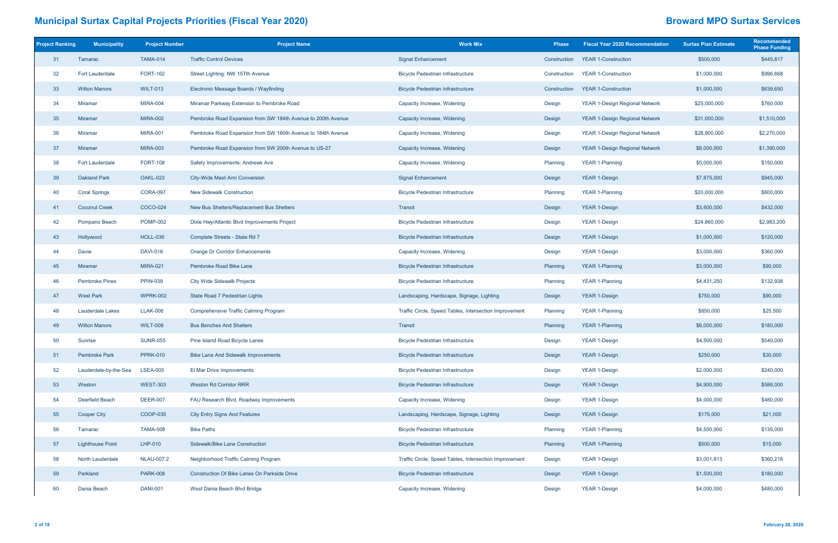| <b>Project Ranking</b> | <b>Municipality</b>     | <b>Project Number</b> | <b>Project Name</b>                                          | <b>Work Mix</b>                                        | <b>Phase</b> | <b>Fiscal Year 2020 Recommendation</b> | <b>Surtax Plan Estimate</b> | <b>Recommended</b><br><b>Phase Funding</b> |
|------------------------|-------------------------|-----------------------|--------------------------------------------------------------|--------------------------------------------------------|--------------|----------------------------------------|-----------------------------|--------------------------------------------|
| 31                     | Tamarac                 | <b>TAMA-014</b>       | <b>Traffic Control Devices</b>                               | <b>Signal Enhancement</b>                              | Construction | <b>YEAR 1-Construction</b>             | \$500,000                   | \$445,817                                  |
| 32                     | <b>Fort Lauderdale</b>  | <b>FORT-162</b>       | Street Lighting: NW 15Tth Avenue                             | <b>Bicycle Pedestrian Infrastructure</b>               | Construction | <b>YEAR 1-Construction</b>             | \$1,000,000                 | \$996,668                                  |
| 33                     | <b>Wilton Manors</b>    | <b>WILT-013</b>       | Electronic Message Boards / Wayfinding                       | <b>Bicycle Pedestrian Infrastructure</b>               | Construction | <b>YEAR 1-Construction</b>             | \$1,000,000                 | \$639,650                                  |
| 34                     | <b>Miramar</b>          | <b>MIRA-004</b>       | Miramar Parkway Extension to Pembroke Road                   | Capacity Increase, Widening                            | Design       | <b>YEAR 1-Design Regional Network</b>  | \$25,000,000                | \$760,000                                  |
| 35                     | <b>Miramar</b>          | <b>MIRA-002</b>       | Pembroke Road Expansion from SW 184th Avenue to 200th Avenue | Capacity Increase, Widening                            | Design       | <b>YEAR 1-Design Regional Network</b>  | \$31,000,000                | \$1,510,000                                |
| 36                     | <b>Miramar</b>          | <b>MIRA-001</b>       | Pembroke Road Expansion from SW 160th Avenue to 184th Avenue | Capacity Increase, Widening                            | Design       | YEAR 1-Design Regional Network         | \$28,900,000                | \$2,270,000                                |
| 37                     | <b>Miramar</b>          | <b>MIRA-003</b>       | Pembroke Road Expansion from SW 200th Avenue to US-27        | Capacity Increase, Widening                            | Design       | <b>YEAR 1-Design Regional Network</b>  | \$8,000,000                 | \$1,390,000                                |
| 38                     | <b>Fort Lauderdale</b>  | <b>FORT-108</b>       | Safety Improvements: Andrews Ave                             | Capacity Increase, Widening                            | Planning     | <b>YEAR 1-Planning</b>                 | \$5,000,000                 | \$150,000                                  |
| 39                     | <b>Oakland Park</b>     | OAKL-023              | <b>City-Wide Mast Arm Conversion</b>                         | <b>Signal Enhancement</b>                              | Design       | <b>YEAR 1-Design</b>                   | \$7,875,000                 | \$945,000                                  |
| 40                     | <b>Coral Springs</b>    | <b>CORA-097</b>       | <b>New Sidewalk Construction</b>                             | <b>Bicycle Pedestrian Infrastructure</b>               | Planning     | <b>YEAR 1-Planning</b>                 | \$20,000,000                | \$600,000                                  |
| 41                     | <b>Coconut Creek</b>    | COCO-024              | New Bus Shelters/Replacement Bus Shelters                    | <b>Transit</b>                                         | Design       | <b>YEAR 1-Design</b>                   | \$3,600,000                 | \$432,000                                  |
| 42                     | Pompano Beach           | <b>POMP-002</b>       | Dixie Hwy/Atlantic Blvd Improvements Project                 | <b>Bicycle Pedestrian Infrastructure</b>               | Design       | <b>YEAR 1-Design</b>                   | \$24,860,000                | \$2,983,200                                |
| 43                     | Hollywood               | <b>HOLL-036</b>       | Complete Streets - State Rd 7                                | <b>Bicycle Pedestrian Infrastructure</b>               | Design       | <b>YEAR 1-Design</b>                   | \$1,000,000                 | \$120,000                                  |
| 44                     | Davie                   | <b>DAVI-016</b>       | <b>Orange Dr Corridor Enhancements</b>                       | Capacity Increase, Widening                            | Design       | <b>YEAR 1-Design</b>                   | \$3,000,000                 | \$360,000                                  |
| 45                     | <b>Miramar</b>          | <b>MIRA-021</b>       | Pembroke Road Bike Lane                                      | <b>Bicycle Pedestrian Infrastructure</b>               | Planning     | <b>YEAR 1-Planning</b>                 | \$3,000,000                 | \$90,000                                   |
| 46                     | <b>Pembroke Pines</b>   | <b>PPIN-039</b>       | <b>City Wide Sidewalk Projects</b>                           | <b>Bicycle Pedestrian Infrastructure</b>               | Planning     | <b>YEAR 1-Planning</b>                 | \$4,431,250                 | \$132,938                                  |
| 47                     | <b>West Park</b>        | <b>WPRK-002</b>       | State Road 7 Pedestrian Lights                               | Landscaping, Hardscape, Signage, Lighting              | Design       | <b>YEAR 1-Design</b>                   | \$750,000                   | \$90,000                                   |
| 48                     | Lauderdale Lakes        | <b>LLAK-006</b>       | <b>Comprehensive Traffic Calming Program</b>                 | Traffic Circle, Speed Tables, Intersection Improvement | Planning     | <b>YEAR 1-Planning</b>                 | \$850,000                   | \$25,500                                   |
| 49                     | <b>Wilton Manors</b>    | <b>WILT-009</b>       | <b>Bus Benches And Shelters</b>                              | <b>Transit</b>                                         | Planning     | <b>YEAR 1-Planning</b>                 | \$6,000,000                 | \$180,000                                  |
| 50                     | Sunrise                 | <b>SUNR-055</b>       | Pine Island Road Bicycle Lanes                               | <b>Bicycle Pedestrian Infrastructure</b>               | Design       | <b>YEAR 1-Design</b>                   | \$4,500,000                 | \$540,000                                  |
| 51                     | <b>Pembroke Park</b>    | <b>PPRK-010</b>       | <b>Bike Lane And Sidewalk Improvements</b>                   | <b>Bicycle Pedestrian Infrastructure</b>               | Design       | <b>YEAR 1-Design</b>                   | \$250,000                   | \$30,000                                   |
| 52                     | Lauderdale-by-the-Sea   | <b>LSEA-005</b>       | El Mar Drive Improvements                                    | <b>Bicycle Pedestrian Infrastructure</b>               | Design       | <b>YEAR 1-Design</b>                   | \$2,000,000                 | \$240,000                                  |
| 53                     | Weston                  | <b>WEST-303</b>       | <b>Weston Rd Corridor RRR</b>                                | <b>Bicycle Pedestrian Infrastructure</b>               | Design       | <b>YEAR 1-Design</b>                   | \$4,900,000                 | \$588,000                                  |
| 54                     | Deerfield Beach         | <b>DEER-007</b>       | FAU Research Blvd. Roadway Improvements                      | Capacity Increase, Widening                            | Design       | <b>YEAR 1-Design</b>                   | \$4,000,000                 | \$480,000                                  |
| 55                     | <b>Cooper City</b>      | COOP-035              | <b>City Entry Signs And Features</b>                         | Landscaping, Hardscape, Signage, Lighting              | Design       | <b>YEAR 1-Design</b>                   | \$175,000                   | \$21,000                                   |
| 56                     | Tamarac                 | <b>TAMA-008</b>       | <b>Bike Paths</b>                                            | <b>Bicycle Pedestrian Infrastructure</b>               | Planning     | <b>YEAR 1-Planning</b>                 | \$4,500,000                 | \$135,000                                  |
| 57                     | <b>Lighthouse Point</b> | LHP-010               | Sidewalk/Bike Lane Construction                              | <b>Bicycle Pedestrian Infrastructure</b>               | Planning     | <b>YEAR 1-Planning</b>                 | \$500,000                   | \$15,000                                   |
| 58                     | North Lauderdale        | <b>NLAU-007.2</b>     | Neighborhood Traffic Calming Program                         | Traffic Circle, Speed Tables, Intersection Improvement | Design       | <b>YEAR 1-Design</b>                   | \$3,001,813                 | \$360,218                                  |
| 59                     | Parkland                | <b>PARK-008</b>       | <b>Construction Of Bike Lanes On Parkside Drive</b>          | <b>Bicycle Pedestrian Infrastructure</b>               | Design       | <b>YEAR 1-Design</b>                   | \$1,500,000                 | \$180,000                                  |
| 60                     | Dania Beach             | <b>DANI-001</b>       | West Dania Beach Blvd Bridge                                 | Capacity Increase, Widening                            | Design       | <b>YEAR 1-Design</b>                   | \$4,000,000                 | \$480,000                                  |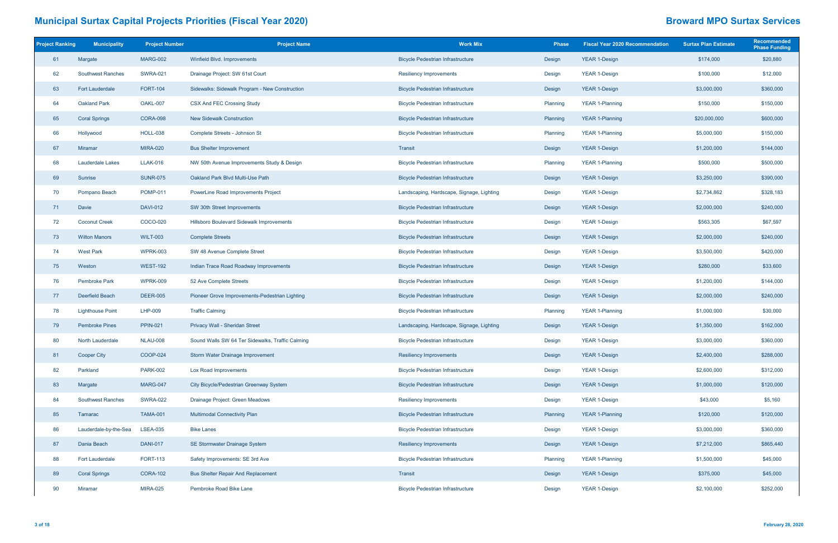| <b>Project Ranking</b> | <b>Municipality</b>      | <b>Project Number</b> | <b>Project Name</b>                              | <b>Work Mix</b>                           | <b>Phase</b> | <b>Fiscal Year 2020 Recommendation</b> | <b>Surtax Plan Estimate</b> | Recommended<br><b>Phase Funding</b> |
|------------------------|--------------------------|-----------------------|--------------------------------------------------|-------------------------------------------|--------------|----------------------------------------|-----------------------------|-------------------------------------|
| 61                     | Margate                  | <b>MARG-002</b>       | Winfield Blvd. Improvements                      | <b>Bicycle Pedestrian Infrastructure</b>  | Design       | <b>YEAR 1-Design</b>                   | \$174,000                   | \$20,880                            |
| 62                     | <b>Southwest Ranches</b> | <b>SWRA-021</b>       | Drainage Project: SW 61st Court                  | <b>Resiliency Improvements</b>            | Design       | <b>YEAR 1-Design</b>                   | \$100,000                   | \$12,000                            |
| 63                     | <b>Fort Lauderdale</b>   | <b>FORT-104</b>       | Sidewalks: Sidewalk Program - New Construction   | <b>Bicycle Pedestrian Infrastructure</b>  | Design       | <b>YEAR 1-Design</b>                   | \$3,000,000                 | \$360,000                           |
| 64                     | Oakland Park             | OAKL-007              | <b>CSX And FEC Crossing Study</b>                | <b>Bicycle Pedestrian Infrastructure</b>  | Planning     | <b>YEAR 1-Planning</b>                 | \$150,000                   | \$150,000                           |
| 65                     | <b>Coral Springs</b>     | <b>CORA-098</b>       | <b>New Sidewalk Construction</b>                 | <b>Bicycle Pedestrian Infrastructure</b>  | Planning     | <b>YEAR 1-Planning</b>                 | \$20,000,000                | \$600,000                           |
| 66                     | Hollywood                | <b>HOLL-038</b>       | Complete Streets - Johnson St                    | <b>Bicycle Pedestrian Infrastructure</b>  | Planning     | <b>YEAR 1-Planning</b>                 | \$5,000,000                 | \$150,000                           |
| 67                     | <b>Miramar</b>           | <b>MIRA-020</b>       | <b>Bus Shelter Improvement</b>                   | Transit                                   | Design       | <b>YEAR 1-Design</b>                   | \$1,200,000                 | \$144,000                           |
| 68                     | Lauderdale Lakes         | <b>LLAK-016</b>       | NW 50th Avenue Improvements Study & Design       | <b>Bicycle Pedestrian Infrastructure</b>  | Planning     | <b>YEAR 1-Planning</b>                 | \$500,000                   | \$500,000                           |
| 69                     | Sunrise                  | <b>SUNR-075</b>       | Oakland Park Blvd Multi-Use Path                 | <b>Bicycle Pedestrian Infrastructure</b>  | Design       | <b>YEAR 1-Design</b>                   | \$3,250,000                 | \$390,000                           |
| 70                     | Pompano Beach            | <b>POMP-011</b>       | PowerLine Road Improvements Project              | Landscaping, Hardscape, Signage, Lighting | Design       | <b>YEAR 1-Design</b>                   | \$2,734,862                 | \$328,183                           |
| 71                     | Davie                    | <b>DAVI-012</b>       | SW 30th Street Improvements                      | <b>Bicycle Pedestrian Infrastructure</b>  | Design       | <b>YEAR 1-Design</b>                   | \$2,000,000                 | \$240,000                           |
| 72                     | <b>Coconut Creek</b>     | COCO-020              | Hillsboro Boulevard Sidewalk Improvements        | <b>Bicycle Pedestrian Infrastructure</b>  | Design       | <b>YEAR 1-Design</b>                   | \$563,305                   | \$67,597                            |
| 73                     | <b>Wilton Manors</b>     | <b>WILT-003</b>       | <b>Complete Streets</b>                          | <b>Bicycle Pedestrian Infrastructure</b>  | Design       | <b>YEAR 1-Design</b>                   | \$2,000,000                 | \$240,000                           |
| 74                     | <b>West Park</b>         | <b>WPRK-003</b>       | SW 48 Avenue Complete Street                     | <b>Bicycle Pedestrian Infrastructure</b>  | Design       | <b>YEAR 1-Design</b>                   | \$3,500,000                 | \$420,000                           |
| 75                     | Weston                   | <b>WEST-192</b>       | Indian Trace Road Roadway Improvements           | <b>Bicycle Pedestrian Infrastructure</b>  | Design       | <b>YEAR 1-Design</b>                   | \$280,000                   | \$33,600                            |
| 76                     | <b>Pembroke Park</b>     | <b>WPRK-009</b>       | 52 Ave Complete Streets                          | <b>Bicycle Pedestrian Infrastructure</b>  | Design       | <b>YEAR 1-Design</b>                   | \$1,200,000                 | \$144,000                           |
| 77                     | Deerfield Beach          | <b>DEER-005</b>       | Pioneer Grove Improvements-Pedestrian Lighting   | <b>Bicycle Pedestrian Infrastructure</b>  | Design       | <b>YEAR 1-Design</b>                   | \$2,000,000                 | \$240,000                           |
| 78                     | <b>Lighthouse Point</b>  | <b>LHP-009</b>        | <b>Traffic Calming</b>                           | <b>Bicycle Pedestrian Infrastructure</b>  | Planning     | <b>YEAR 1-Planning</b>                 | \$1,000,000                 | \$30,000                            |
| 79                     | <b>Pembroke Pines</b>    | <b>PPIN-021</b>       | Privacy Wall - Sheridan Street                   | Landscaping, Hardscape, Signage, Lighting | Design       | <b>YEAR 1-Design</b>                   | \$1,350,000                 | \$162,000                           |
| 80                     | North Lauderdale         | <b>NLAU-008</b>       | Sound Walls SW 64 Ter Sidewalks, Traffic Calming | <b>Bicycle Pedestrian Infrastructure</b>  | Design       | YEAR 1-Design                          | \$3,000,000                 | \$360,000                           |
| 81                     | <b>Cooper City</b>       | COOP-024              | Storm Water Drainage Improvement                 | Resiliency Improvements                   | Design       | <b>YEAR 1-Design</b>                   | \$2,400,000                 | \$288,000                           |
| 82                     | Parkland                 | <b>PARK-002</b>       | Lox Road Improvements                            | <b>Bicycle Pedestrian Infrastructure</b>  | Design       | YEAR 1-Design                          | \$2,600,000                 | \$312,000                           |
| 83                     | Margate                  | MARG-047              | City Bicycle/Pedestrian Greenway System          | <b>Bicycle Pedestrian Infrastructure</b>  | Design       | <b>YEAR 1-Design</b>                   | \$1,000,000                 | \$120,000                           |
| 84                     | <b>Southwest Ranches</b> | <b>SWRA-022</b>       | Drainage Project: Green Meadows                  | <b>Resiliency Improvements</b>            | Design       | <b>YEAR 1-Design</b>                   | \$43,000                    | \$5,160                             |
| 85                     | Tamarac                  | <b>TAMA-001</b>       | <b>Multimodal Connectivity Plan</b>              | <b>Bicycle Pedestrian Infrastructure</b>  | Planning     | <b>YEAR 1-Planning</b>                 | \$120,000                   | \$120,000                           |
| 86                     | Lauderdale-by-the-Sea    | <b>LSEA-035</b>       | <b>Bike Lanes</b>                                | <b>Bicycle Pedestrian Infrastructure</b>  | Design       | <b>YEAR 1-Design</b>                   | \$3,000,000                 | \$360,000                           |
| 87                     | Dania Beach              | <b>DANI-017</b>       | SE Stormwater Drainage System                    | <b>Resiliency Improvements</b>            | Design       | <b>YEAR 1-Design</b>                   | \$7,212,000                 | \$865,440                           |
| 88                     | Fort Lauderdale          | <b>FORT-113</b>       | Safety Improvements: SE 3rd Ave                  | <b>Bicycle Pedestrian Infrastructure</b>  | Planning     | <b>YEAR 1-Planning</b>                 | \$1,500,000                 | \$45,000                            |
| 89                     | <b>Coral Springs</b>     | <b>CORA-102</b>       | <b>Bus Shelter Repair And Replacement</b>        | <b>Transit</b>                            | Design       | <b>YEAR 1-Design</b>                   | \$375,000                   | \$45,000                            |
| 90                     | <b>Miramar</b>           | <b>MIRA-025</b>       | Pembroke Road Bike Lane                          | <b>Bicycle Pedestrian Infrastructure</b>  | Design       | <b>YEAR 1-Design</b>                   | \$2,100,000                 | \$252,000                           |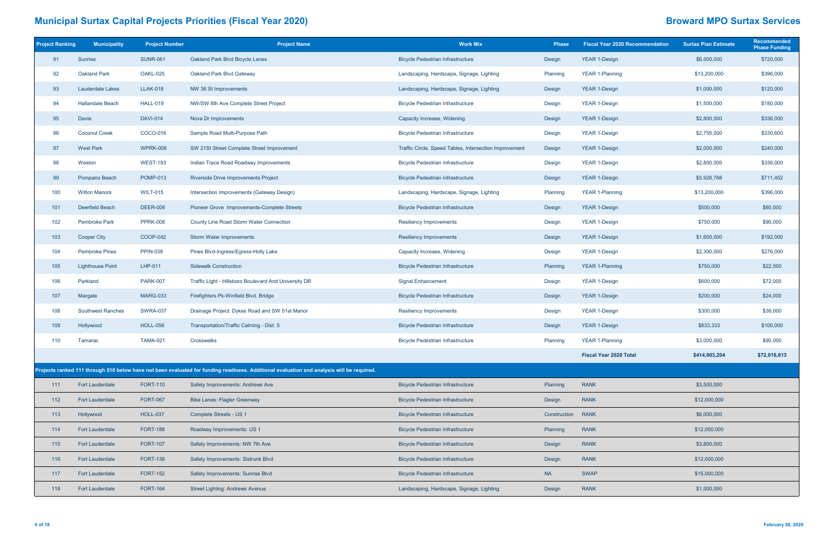| <b>Project Ranking</b> | <b>Municipality</b>      | <b>Project Number</b> | <b>Project Name</b>                                                                                                                       | <b>Work Mix</b>                                        | <b>Phase</b> | <b>Fiscal Year 2020 Recommendation</b> | <b>Surtax Plan Estimate</b> | <b>Recommended</b><br><b>Phase Funding</b> |
|------------------------|--------------------------|-----------------------|-------------------------------------------------------------------------------------------------------------------------------------------|--------------------------------------------------------|--------------|----------------------------------------|-----------------------------|--------------------------------------------|
| 91                     | Sunrise                  | <b>SUNR-061</b>       | Oakland Park Blvd Bicycle Lanes                                                                                                           | <b>Bicycle Pedestrian Infrastructure</b>               | Design       | <b>YEAR 1-Design</b>                   | \$6,000,000                 | \$720,000                                  |
| 92                     | <b>Oakland Park</b>      | OAKL-025              | Oakland Park Blvd Gateway                                                                                                                 | Landscaping, Hardscape, Signage, Lighting              | Planning     | <b>YEAR 1-Planning</b>                 | \$13,200,000                | \$396,000                                  |
| 93                     | <b>Lauderdale Lakes</b>  | <b>LLAK-018</b>       | NW 36 St Improvements                                                                                                                     | Landscaping, Hardscape, Signage, Lighting              | Design       | <b>YEAR 1-Design</b>                   | \$1,000,000                 | \$120,000                                  |
| 94                     | <b>Hallandale Beach</b>  | <b>HALL-019</b>       | NW/SW 8th Ave Complete Street Project                                                                                                     | <b>Bicycle Pedestrian Infrastructure</b>               | Design       | <b>YEAR 1-Design</b>                   | \$1,500,000                 | \$180,000                                  |
| 95                     | Davie                    | <b>DAVI-014</b>       | Nova Dr Improvements                                                                                                                      | Capacity Increase, Widening                            | Design       | <b>YEAR 1-Design</b>                   | \$2,800,000                 | \$336,000                                  |
| 96                     | <b>Coconut Creek</b>     | COCO-016              | Sample Road Multi-Purpose Path                                                                                                            | <b>Bicycle Pedestrian Infrastructure</b>               | Design       | <b>YEAR 1-Design</b>                   | \$2,755,000                 | \$330,600                                  |
| 97                     | <b>West Park</b>         | <b>WPRK-008</b>       | SW 21St Street Complete Street Improvement                                                                                                | Traffic Circle, Speed Tables, Intersection Improvement | Design       | <b>YEAR 1-Design</b>                   | \$2,000,000                 | \$240,000                                  |
| 98                     | Weston                   | <b>WEST-193</b>       | Indian Trace Road Roadway Improvements                                                                                                    | <b>Bicycle Pedestrian Infrastructure</b>               | Design       | <b>YEAR 1-Design</b>                   | \$2,800,000                 | \$336,000                                  |
| 99                     | Pompano Beach            | <b>POMP-013</b>       | Riverside Drive Improvements Project                                                                                                      | <b>Bicycle Pedestrian Infrastructure</b>               | Design       | <b>YEAR 1-Design</b>                   | \$5,928,768                 | \$711,452                                  |
| 100                    | <b>Wilton Manors</b>     | <b>WILT-015</b>       | Intersection Improvements (Gateway Design)                                                                                                | Landscaping, Hardscape, Signage, Lighting              | Planning     | <b>YEAR 1-Planning</b>                 | \$13,200,000                | \$396,000                                  |
| 101                    | Deerfield Beach          | <b>DEER-006</b>       | Pioneer Grove Improvements-Complete Streets                                                                                               | <b>Bicycle Pedestrian Infrastructure</b>               | Design       | <b>YEAR 1-Design</b>                   | \$500,000                   | \$60,000                                   |
| 102                    | <b>Pembroke Park</b>     | <b>PPRK-008</b>       | County Line Road Storm Water Connection                                                                                                   | <b>Resiliency Improvements</b>                         | Design       | <b>YEAR 1-Design</b>                   | \$750,000                   | \$90,000                                   |
| 103                    | <b>Cooper City</b>       | <b>COOP-042</b>       | Storm Water Improvements                                                                                                                  | <b>Resiliency Improvements</b>                         | Design       | <b>YEAR 1-Design</b>                   | \$1,600,000                 | \$192,000                                  |
| 104                    | <b>Pembroke Pines</b>    | <b>PPIN-038</b>       | Pines Blvd-Ingress/Egress-Holly Lake                                                                                                      | Capacity Increase, Widening                            | Design       | <b>YEAR 1-Design</b>                   | \$2,300,000                 | \$276,000                                  |
| 105                    | <b>Lighthouse Point</b>  | LHP-011               | <b>Sidewalk Construction</b>                                                                                                              | <b>Bicycle Pedestrian Infrastructure</b>               | Planning     | <b>YEAR 1-Planning</b>                 | \$750,000                   | \$22,500                                   |
| 106                    | Parkland                 | <b>PARK-007</b>       | Traffic Light - Hillsboro Boulevard And University DR                                                                                     | <b>Signal Enhancement</b>                              | Design       | <b>YEAR 1-Design</b>                   | \$600,000                   | \$72,000                                   |
| 107                    | Margate                  | <b>MARG-033</b>       | Firefighters Pk-Winfield Blvd. Bridge                                                                                                     | <b>Bicycle Pedestrian Infrastructure</b>               | Design       | <b>YEAR 1-Design</b>                   | \$200,000                   | \$24,000                                   |
| 108                    | <b>Southwest Ranches</b> | <b>SWRA-037</b>       | Drainage Project: Dykes Road and SW 51st Manor                                                                                            | <b>Resiliency Improvements</b>                         | Design       | YEAR 1-Design                          | \$300,000                   | \$36,000                                   |
| 109                    | Hollywood                | <b>HOLL-056</b>       | Transportation/Traffic Calming - Dist. 5                                                                                                  | <b>Bicycle Pedestrian Infrastructure</b>               | Design       | <b>YEAR 1-Design</b>                   | \$833,333                   | \$100,000                                  |
| 110                    | Tamarac                  | <b>TAMA-021</b>       | Crosswalks                                                                                                                                | <b>Bicycle Pedestrian Infrastructure</b>               | Planning     | YEAR 1-Planning                        | \$3,000,000                 | \$90,000                                   |
|                        |                          |                       |                                                                                                                                           |                                                        |              | <b>Fiscal Year 2020 Total</b>          | \$414,903,204               | \$72,016,813                               |
|                        |                          |                       | Projects ranked 111 through 510 below have not been evaluated for funding readiness. Additional evaluation and analysis will be required. |                                                        |              |                                        |                             |                                            |
| 111                    | <b>Fort Lauderdale</b>   | <b>FORT-110</b>       | Safety Improvements: Andrews Ave                                                                                                          | <b>Bicycle Pedestrian Infrastructure</b>               | Planning     | <b>RANK</b>                            | \$3,500,000                 |                                            |
| 112                    | <b>Fort Lauderdale</b>   | <b>FORT-067</b>       | <b>Bike Lanes: Flagler Greenway</b>                                                                                                       | <b>Bicycle Pedestrian Infrastructure</b>               | Design       | <b>RANK</b>                            | \$12,000,000                |                                            |
| 113                    | Hollywood                | <b>HOLL-037</b>       | Complete Streets - US 1                                                                                                                   | <b>Bicycle Pedestrian Infrastructure</b>               | Construction | <b>RANK</b>                            | \$6,000,000                 |                                            |
| 114                    | <b>Fort Lauderdale</b>   | <b>FORT-188</b>       | Roadway Improvements: US 1                                                                                                                | <b>Bicycle Pedestrian Infrastructure</b>               | Planning     | <b>RANK</b>                            | \$12,000,000                |                                            |
| 115                    | <b>Fort Lauderdale</b>   | <b>FORT-107</b>       | Safety Improvements: NW 7th Ave                                                                                                           | <b>Bicycle Pedestrian Infrastructure</b>               | Design       | <b>RANK</b>                            | \$3,800,000                 |                                            |
| 116                    | <b>Fort Lauderdale</b>   | <b>FORT-139</b>       | Safety Improvements: Sistrunk Blvd                                                                                                        | <b>Bicycle Pedestrian Infrastructure</b>               | Design       | <b>RANK</b>                            | \$12,000,000                |                                            |
| 117                    | <b>Fort Lauderdale</b>   | <b>FORT-152</b>       | Safety Improvements: Sunrise Blvd                                                                                                         | <b>Bicycle Pedestrian Infrastructure</b>               | <b>NA</b>    | <b>SWAP</b>                            | \$15,000,000                |                                            |
| 118                    | <b>Fort Lauderdale</b>   | <b>FORT-164</b>       | <b>Street Lighting: Andrews Avenue</b>                                                                                                    | Landscaping, Hardscape, Signage, Lighting              | Design       | <b>RANK</b>                            | \$1,000,000                 |                                            |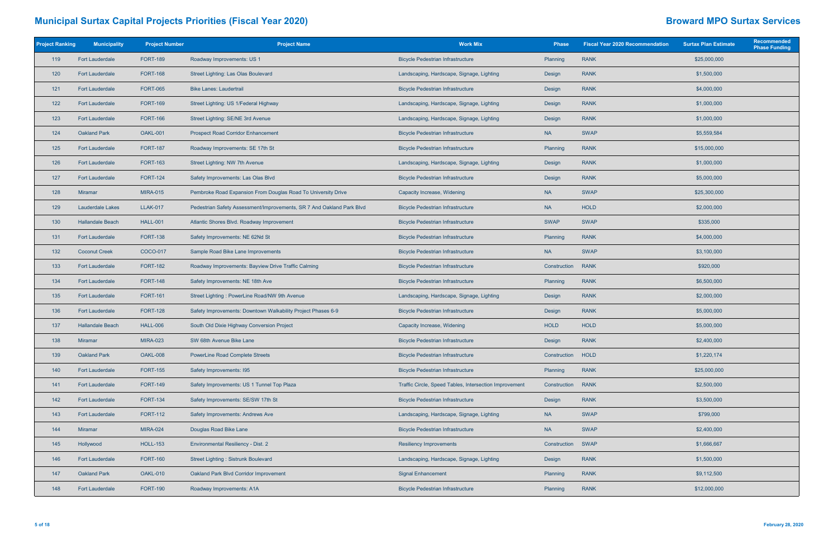| <b>Project Ranking</b> | <b>Municipality</b>     | <b>Project Number</b> | <b>Project Name</b>                                                   | <b>Work Mix</b>                                        | <b>Phase</b> | <b>Fiscal Year 2020 Recommendation</b> | <b>Surtax Plan Estimate</b> | Recommended<br><b>Phase Funding</b> |
|------------------------|-------------------------|-----------------------|-----------------------------------------------------------------------|--------------------------------------------------------|--------------|----------------------------------------|-----------------------------|-------------------------------------|
| 119                    | <b>Fort Lauderdale</b>  | <b>FORT-189</b>       | Roadway Improvements: US 1                                            | <b>Bicycle Pedestrian Infrastructure</b>               | Planning     | <b>RANK</b>                            | \$25,000,000                |                                     |
| 120                    | <b>Fort Lauderdale</b>  | <b>FORT-168</b>       | Street Lighting: Las Olas Boulevard                                   | Landscaping, Hardscape, Signage, Lighting              | Design       | <b>RANK</b>                            | \$1,500,000                 |                                     |
| $121$                  | <b>Fort Lauderdale</b>  | <b>FORT-065</b>       | <b>Bike Lanes: Laudertrail</b>                                        | <b>Bicycle Pedestrian Infrastructure</b>               | Design       | <b>RANK</b>                            | \$4,000,000                 |                                     |
| $122$                  | <b>Fort Lauderdale</b>  | <b>FORT-169</b>       | Street Lighting: US 1/Federal Highway                                 | Landscaping, Hardscape, Signage, Lighting              | Design       | <b>RANK</b>                            | \$1,000,000                 |                                     |
| 123                    | <b>Fort Lauderdale</b>  | <b>FORT-166</b>       | Street Lighting: SE/NE 3rd Avenue                                     | Landscaping, Hardscape, Signage, Lighting              | Design       | <b>RANK</b>                            | \$1,000,000                 |                                     |
| 124                    | <b>Oakland Park</b>     | OAKL-001              | <b>Prospect Road Corridor Enhancement</b>                             | <b>Bicycle Pedestrian Infrastructure</b>               | <b>NA</b>    | <b>SWAP</b>                            | \$5,559,584                 |                                     |
| 125                    | <b>Fort Lauderdale</b>  | <b>FORT-187</b>       | Roadway Improvements: SE 17th St                                      | <b>Bicycle Pedestrian Infrastructure</b>               | Planning     | <b>RANK</b>                            | \$15,000,000                |                                     |
| 126                    | <b>Fort Lauderdale</b>  | <b>FORT-163</b>       | Street Lighting: NW 7th Avenue                                        | Landscaping, Hardscape, Signage, Lighting              | Design       | <b>RANK</b>                            | \$1,000,000                 |                                     |
| 127                    | <b>Fort Lauderdale</b>  | <b>FORT-124</b>       | Safety Improvements: Las Olas Blvd                                    | <b>Bicycle Pedestrian Infrastructure</b>               | Design       | <b>RANK</b>                            | \$5,000,000                 |                                     |
| 128                    | Miramar                 | <b>MIRA-015</b>       | Pembroke Road Expansion From Douglas Road To University Drive         | Capacity Increase, Widening                            | <b>NA</b>    | <b>SWAP</b>                            | \$25,300,000                |                                     |
| 129                    | <b>Lauderdale Lakes</b> | <b>LLAK-017</b>       | Pedestrian Safety Assessment/Improvements, SR 7 And Oakland Park Blvd | <b>Bicycle Pedestrian Infrastructure</b>               | <b>NA</b>    | <b>HOLD</b>                            | \$2,000,000                 |                                     |
| 130                    | <b>Hallandale Beach</b> | <b>HALL-001</b>       | Atlantic Shores Blvd. Roadway Improvement                             | <b>Bicycle Pedestrian Infrastructure</b>               | <b>SWAP</b>  | <b>SWAP</b>                            | \$335,000                   |                                     |
| 131                    | <b>Fort Lauderdale</b>  | <b>FORT-138</b>       | Safety Improvements: NE 62Nd St                                       | <b>Bicycle Pedestrian Infrastructure</b>               | Planning     | <b>RANK</b>                            | \$4,000,000                 |                                     |
| 132                    | <b>Coconut Creek</b>    | COCO-017              | Sample Road Bike Lane Improvements                                    | <b>Bicycle Pedestrian Infrastructure</b>               | <b>NA</b>    | <b>SWAP</b>                            | \$3,100,000                 |                                     |
| 133                    | <b>Fort Lauderdale</b>  | <b>FORT-182</b>       | Roadway Improvements: Bayview Drive Traffic Calming                   | <b>Bicycle Pedestrian Infrastructure</b>               | Construction | <b>RANK</b>                            | \$920,000                   |                                     |
| 134                    | <b>Fort Lauderdale</b>  | <b>FORT-148</b>       | Safety Improvements: NE 18th Ave                                      | <b>Bicycle Pedestrian Infrastructure</b>               | Planning     | <b>RANK</b>                            | \$6,500,000                 |                                     |
| 135                    | <b>Fort Lauderdale</b>  | <b>FORT-161</b>       | Street Lighting: PowerLine Road/NW 9th Avenue                         | Landscaping, Hardscape, Signage, Lighting              | Design       | <b>RANK</b>                            | \$2,000,000                 |                                     |
| 136                    | <b>Fort Lauderdale</b>  | <b>FORT-128</b>       | Safety Improvements: Downtown Walkability Project Phases 6-9          | <b>Bicycle Pedestrian Infrastructure</b>               | Design       | <b>RANK</b>                            | \$5,000,000                 |                                     |
| 137                    | <b>Hallandale Beach</b> | <b>HALL-006</b>       | South Old Dixie Highway Conversion Project                            | Capacity Increase, Widening                            | <b>HOLD</b>  | <b>HOLD</b>                            | \$5,000,000                 |                                     |
| 138                    | <b>Miramar</b>          | <b>MIRA-023</b>       | SW 68th Avenue Bike Lane                                              | <b>Bicycle Pedestrian Infrastructure</b>               | Design       | <b>RANK</b>                            | \$2,400,000                 |                                     |
| 139                    | <b>Oakland Park</b>     | OAKL-008              | <b>PowerLine Road Complete Streets</b>                                | <b>Bicycle Pedestrian Infrastructure</b>               | Construction | HOLD                                   | \$1,220,174                 |                                     |
| 140                    | <b>Fort Lauderdale</b>  | <b>FORT-155</b>       | Safety Improvements: I95                                              | <b>Bicycle Pedestrian Infrastructure</b>               | Planning     | <b>RANK</b>                            | \$25,000,000                |                                     |
| 141                    | <b>Fort Lauderdale</b>  | <b>FORT-149</b>       | Safety Improvements: US 1 Tunnel Top Plaza                            | Traffic Circle, Speed Tables, Intersection Improvement | Construction | <b>RANK</b>                            | \$2,500,000                 |                                     |
| 142                    | <b>Fort Lauderdale</b>  | <b>FORT-134</b>       | Safety Improvements: SE/SW 17th St                                    | <b>Bicycle Pedestrian Infrastructure</b>               | Design       | <b>RANK</b>                            | \$3,500,000                 |                                     |
| 143                    | <b>Fort Lauderdale</b>  | <b>FORT-112</b>       | Safety Improvements: Andrews Ave                                      | Landscaping, Hardscape, Signage, Lighting              | <b>NA</b>    | <b>SWAP</b>                            | \$799,000                   |                                     |
| 144                    | <b>Miramar</b>          | <b>MIRA-024</b>       | Douglas Road Bike Lane                                                | <b>Bicycle Pedestrian Infrastructure</b>               | <b>NA</b>    | <b>SWAP</b>                            | \$2,400,000                 |                                     |
| 145                    | Hollywood               | <b>HOLL-153</b>       | Environmental Resiliency - Dist. 2                                    | <b>Resiliency Improvements</b>                         | Construction | <b>SWAP</b>                            | \$1,666,667                 |                                     |
| 146                    | <b>Fort Lauderdale</b>  | <b>FORT-160</b>       | <b>Street Lighting: Sistrunk Boulevard</b>                            | Landscaping, Hardscape, Signage, Lighting              | Design       | <b>RANK</b>                            | \$1,500,000                 |                                     |
| 147                    | <b>Oakland Park</b>     | OAKL-010              | Oakland Park Blvd Corridor Improvement                                | <b>Signal Enhancement</b>                              | Planning     | <b>RANK</b>                            | \$9,112,500                 |                                     |
| 148                    | <b>Fort Lauderdale</b>  | <b>FORT-190</b>       | Roadway Improvements: A1A                                             | <b>Bicycle Pedestrian Infrastructure</b>               | Planning     | <b>RANK</b>                            | \$12,000,000                |                                     |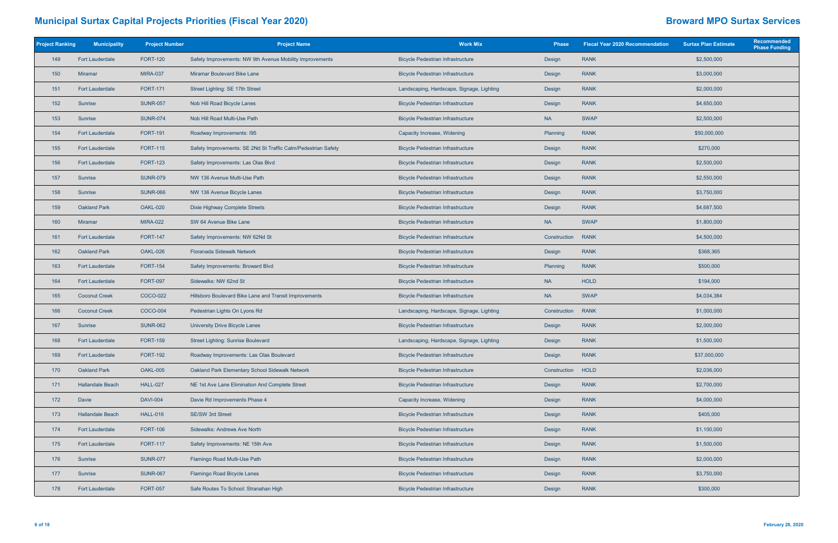| <b>Project Ranking</b> | <b>Municipality</b>     | <b>Project Number</b> | <b>Project Name</b>                                           | <b>Work Mix</b>                           | <b>Phase</b> | <b>Fiscal Year 2020 Recommendation</b> | <b>Surtax Plan Estimate</b> | Recommended<br><b>Phase Funding</b> |
|------------------------|-------------------------|-----------------------|---------------------------------------------------------------|-------------------------------------------|--------------|----------------------------------------|-----------------------------|-------------------------------------|
| 149                    | <b>Fort Lauderdale</b>  | <b>FORT-120</b>       | Safety Improvements: NW 9th Avenue Mobility Improvements      | <b>Bicycle Pedestrian Infrastructure</b>  | Design       | <b>RANK</b>                            | \$2,500,000                 |                                     |
| 150                    | <b>Miramar</b>          | <b>MIRA-037</b>       | Miramar Boulevard Bike Lane                                   | <b>Bicycle Pedestrian Infrastructure</b>  | Design       | <b>RANK</b>                            | \$3,000,000                 |                                     |
| 151                    | <b>Fort Lauderdale</b>  | <b>FORT-171</b>       | Street Lighting: SE 17th Street                               | Landscaping, Hardscape, Signage, Lighting | Design       | <b>RANK</b>                            | \$2,000,000                 |                                     |
| 152                    | Sunrise                 | <b>SUNR-057</b>       | Nob Hill Road Bicycle Lanes                                   | <b>Bicycle Pedestrian Infrastructure</b>  | Design       | <b>RANK</b>                            | \$4,650,000                 |                                     |
| 153                    | Sunrise                 | <b>SUNR-074</b>       | Nob Hill Road Multi-Use Path                                  | <b>Bicycle Pedestrian Infrastructure</b>  | <b>NA</b>    | <b>SWAP</b>                            | \$2,500,000                 |                                     |
| 154                    | <b>Fort Lauderdale</b>  | <b>FORT-191</b>       | Roadway Improvements: I95                                     | Capacity Increase, Widening               | Planning     | <b>RANK</b>                            | \$50,000,000                |                                     |
| 155                    | <b>Fort Lauderdale</b>  | <b>FORT-115</b>       | Safety Improvements: SE 2Nd St Traffic Calm/Pedestrian Safety | <b>Bicycle Pedestrian Infrastructure</b>  | Design       | <b>RANK</b>                            | \$270,000                   |                                     |
| 156                    | <b>Fort Lauderdale</b>  | <b>FORT-123</b>       | Safety Improvements: Las Olas Blvd                            | <b>Bicycle Pedestrian Infrastructure</b>  | Design       | <b>RANK</b>                            | \$2,500,000                 |                                     |
| 157                    | Sunrise                 | <b>SUNR-079</b>       | NW 136 Avenue Multi-Use Path                                  | <b>Bicycle Pedestrian Infrastructure</b>  | Design       | <b>RANK</b>                            | \$2,550,000                 |                                     |
| 158                    | Sunrise                 | <b>SUNR-066</b>       | NW 136 Avenue Bicycle Lanes                                   | <b>Bicycle Pedestrian Infrastructure</b>  | Design       | <b>RANK</b>                            | \$3,750,000                 |                                     |
| 159                    | <b>Oakland Park</b>     | <b>OAKL-020</b>       | Dixie Highway Complete Streets                                | <b>Bicycle Pedestrian Infrastructure</b>  | Design       | <b>RANK</b>                            | \$4,687,500                 |                                     |
| 160                    | <b>Miramar</b>          | <b>MIRA-022</b>       | SW 64 Avenue Bike Lane                                        | <b>Bicycle Pedestrian Infrastructure</b>  | <b>NA</b>    | <b>SWAP</b>                            | \$1,800,000                 |                                     |
| 161                    | <b>Fort Lauderdale</b>  | <b>FORT-147</b>       | Safety Improvements: NW 62Nd St                               | <b>Bicycle Pedestrian Infrastructure</b>  | Construction | <b>RANK</b>                            | \$4,500,000                 |                                     |
| 162                    | <b>Oakland Park</b>     | OAKL-026              | <b>Floranada Sidewalk Network</b>                             | <b>Bicycle Pedestrian Infrastructure</b>  | Design       | <b>RANK</b>                            | \$368,365                   |                                     |
| 163                    | <b>Fort Lauderdale</b>  | <b>FORT-154</b>       | Safety Improvements: Broward Blvd                             | <b>Bicycle Pedestrian Infrastructure</b>  | Planning     | <b>RANK</b>                            | \$500,000                   |                                     |
| 164                    | <b>Fort Lauderdale</b>  | <b>FORT-097</b>       | Sidewalks: NW 62nd St                                         | <b>Bicycle Pedestrian Infrastructure</b>  | <b>NA</b>    | <b>HOLD</b>                            | \$194,000                   |                                     |
| 165                    | <b>Coconut Creek</b>    | COCO-022              | Hillsboro Boulevard Bike Lane and Transit Improvements        | <b>Bicycle Pedestrian Infrastructure</b>  | <b>NA</b>    | <b>SWAP</b>                            | \$4,034,384                 |                                     |
| 166                    | <b>Coconut Creek</b>    | <b>COCO-004</b>       | Pedestrian Lights On Lyons Rd                                 | Landscaping, Hardscape, Signage, Lighting | Construction | <b>RANK</b>                            | \$1,000,000                 |                                     |
| 167                    | Sunrise                 | <b>SUNR-062</b>       | University Drive Bicycle Lanes                                | <b>Bicycle Pedestrian Infrastructure</b>  | Design       | <b>RANK</b>                            | \$2,000,000                 |                                     |
| 168                    | <b>Fort Lauderdale</b>  | <b>FORT-159</b>       | <b>Street Lighting: Sunrise Boulevard</b>                     | Landscaping, Hardscape, Signage, Lighting | Design       | <b>RANK</b>                            | \$1,500,000                 |                                     |
| 169                    | <b>Fort Lauderdale</b>  | <b>FORT-192</b>       | Roadway Improvements: Las Olas Boulevard                      | <b>Bicycle Pedestrian Infrastructure</b>  | Design       | <b>RANK</b>                            | \$37,000,000                |                                     |
| 170                    | <b>Oakland Park</b>     | OAKL-005              | Oakland Park Elementary School Sidewalk Network               | <b>Bicycle Pedestrian Infrastructure</b>  | Construction | HOLD                                   | \$2,036,000                 |                                     |
| $171$                  | <b>Hallandale Beach</b> | <b>HALL-027</b>       | NE 1st Ave Lane Elimination And Complete Street               | <b>Bicycle Pedestrian Infrastructure</b>  | Design       | <b>RANK</b>                            | \$2,700,000                 |                                     |
| 172                    | Davie                   | <b>DAVI-004</b>       | Davie Rd Improvements Phase 4                                 | Capacity Increase, Widening               | Design       | <b>RANK</b>                            | \$4,000,000                 |                                     |
| 173                    | <b>Hallandale Beach</b> | <b>HALL-016</b>       | <b>SE/SW 3rd Street</b>                                       | <b>Bicycle Pedestrian Infrastructure</b>  | Design       | <b>RANK</b>                            | \$405,000                   |                                     |
| 174                    | <b>Fort Lauderdale</b>  | <b>FORT-106</b>       | Sidewalks: Andrews Ave North                                  | <b>Bicycle Pedestrian Infrastructure</b>  | Design       | <b>RANK</b>                            | \$1,100,000                 |                                     |
| 175                    | <b>Fort Lauderdale</b>  | <b>FORT-117</b>       | Safety Improvements: NE 15th Ave                              | <b>Bicycle Pedestrian Infrastructure</b>  | Design       | <b>RANK</b>                            | \$1,500,000                 |                                     |
| 176                    | Sunrise                 | <b>SUNR-077</b>       | Flamingo Road Multi-Use Path                                  | <b>Bicycle Pedestrian Infrastructure</b>  | Design       | <b>RANK</b>                            | \$2,000,000                 |                                     |
| 177                    | Sunrise                 | <b>SUNR-067</b>       | Flamingo Road Bicycle Lanes                                   | <b>Bicycle Pedestrian Infrastructure</b>  | Design       | <b>RANK</b>                            | \$3,750,000                 |                                     |
| 178                    | <b>Fort Lauderdale</b>  | <b>FORT-057</b>       | Safe Routes To School: Stranahan High                         | <b>Bicycle Pedestrian Infrastructure</b>  | Design       | <b>RANK</b>                            | \$300,000                   |                                     |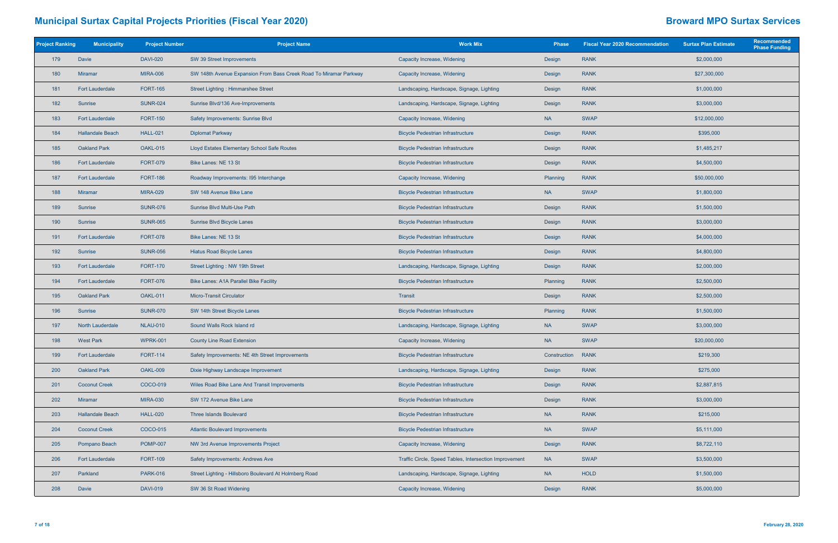| <b>Project Ranking</b> | <b>Municipality</b>     | <b>Project Number</b> | <b>Project Name</b>                                               | <b>Work Mix</b>                                        | <b>Phase</b> | <b>Fiscal Year 2020 Recommendation</b> | <b>Surtax Plan Estimate</b> | Recommended<br><b>Phase Funding</b> |
|------------------------|-------------------------|-----------------------|-------------------------------------------------------------------|--------------------------------------------------------|--------------|----------------------------------------|-----------------------------|-------------------------------------|
| 179                    | Davie                   | <b>DAVI-020</b>       | SW 39 Street Improvements                                         | Capacity Increase, Widening                            | Design       | <b>RANK</b>                            | \$2,000,000                 |                                     |
| 180                    | Miramar                 | <b>MIRA-006</b>       | SW 148th Avenue Expansion From Bass Creek Road To Miramar Parkway | Capacity Increase, Widening                            | Design       | <b>RANK</b>                            | \$27,300,000                |                                     |
| 181                    | <b>Fort Lauderdale</b>  | <b>FORT-165</b>       | <b>Street Lighting: Himmarshee Street</b>                         | Landscaping, Hardscape, Signage, Lighting              | Design       | <b>RANK</b>                            | \$1,000,000                 |                                     |
| 182                    | Sunrise                 | <b>SUNR-024</b>       | Sunrise Blvd/136 Ave-Improvements                                 | Landscaping, Hardscape, Signage, Lighting              | Design       | <b>RANK</b>                            | \$3,000,000                 |                                     |
| 183                    | <b>Fort Lauderdale</b>  | <b>FORT-150</b>       | Safety Improvements: Sunrise Blvd                                 | Capacity Increase, Widening                            | <b>NA</b>    | <b>SWAP</b>                            | \$12,000,000                |                                     |
| 184                    | <b>Hallandale Beach</b> | <b>HALL-021</b>       | <b>Diplomat Parkway</b>                                           | <b>Bicycle Pedestrian Infrastructure</b>               | Design       | <b>RANK</b>                            | \$395,000                   |                                     |
| 185                    | <b>Oakland Park</b>     | OAKL-015              | Lloyd Estates Elementary School Safe Routes                       | <b>Bicycle Pedestrian Infrastructure</b>               | Design       | <b>RANK</b>                            | \$1,485,217                 |                                     |
| 186                    | <b>Fort Lauderdale</b>  | <b>FORT-079</b>       | Bike Lanes: NE 13 St                                              | <b>Bicycle Pedestrian Infrastructure</b>               | Design       | <b>RANK</b>                            | \$4,500,000                 |                                     |
| 187                    | <b>Fort Lauderdale</b>  | <b>FORT-186</b>       | Roadway Improvements: I95 Interchange                             | Capacity Increase, Widening                            | Planning     | <b>RANK</b>                            | \$50,000,000                |                                     |
| 188                    | Miramar                 | <b>MIRA-029</b>       | SW 148 Avenue Bike Lane                                           | <b>Bicycle Pedestrian Infrastructure</b>               | <b>NA</b>    | <b>SWAP</b>                            | \$1,800,000                 |                                     |
| 189                    | Sunrise                 | <b>SUNR-076</b>       | Sunrise Blvd Multi-Use Path                                       | <b>Bicycle Pedestrian Infrastructure</b>               | Design       | <b>RANK</b>                            | \$1,500,000                 |                                     |
| 190                    | Sunrise                 | <b>SUNR-065</b>       | Sunrise Blvd Bicycle Lanes                                        | <b>Bicycle Pedestrian Infrastructure</b>               | Design       | <b>RANK</b>                            | \$3,000,000                 |                                     |
| 191                    | <b>Fort Lauderdale</b>  | <b>FORT-078</b>       | Bike Lanes: NE 13 St                                              | <b>Bicycle Pedestrian Infrastructure</b>               | Design       | <b>RANK</b>                            | \$4,000,000                 |                                     |
| 192                    | Sunrise                 | <b>SUNR-056</b>       | <b>Hiatus Road Bicycle Lanes</b>                                  | <b>Bicycle Pedestrian Infrastructure</b>               | Design       | <b>RANK</b>                            | \$4,800,000                 |                                     |
| 193                    | <b>Fort Lauderdale</b>  | <b>FORT-170</b>       | Street Lighting: NW 19th Street                                   | Landscaping, Hardscape, Signage, Lighting              | Design       | <b>RANK</b>                            | \$2,000,000                 |                                     |
| 194                    | <b>Fort Lauderdale</b>  | <b>FORT-076</b>       | <b>Bike Lanes: A1A Parallel Bike Facility</b>                     | <b>Bicycle Pedestrian Infrastructure</b>               | Planning     | <b>RANK</b>                            | \$2,500,000                 |                                     |
| 195                    | <b>Oakland Park</b>     | OAKL-011              | <b>Micro-Transit Circulator</b>                                   | Transit                                                | Design       | <b>RANK</b>                            | \$2,500,000                 |                                     |
| 196                    | Sunrise                 | <b>SUNR-070</b>       | SW 14th Street Bicycle Lanes                                      | <b>Bicycle Pedestrian Infrastructure</b>               | Planning     | <b>RANK</b>                            | \$1,500,000                 |                                     |
| 197                    | <b>North Lauderdale</b> | <b>NLAU-010</b>       | Sound Walls Rock Island rd                                        | Landscaping, Hardscape, Signage, Lighting              | <b>NA</b>    | <b>SWAP</b>                            | \$3,000,000                 |                                     |
| 198                    | <b>West Park</b>        | <b>WPRK-001</b>       | <b>County Line Road Extension</b>                                 | Capacity Increase, Widening                            | <b>NA</b>    | <b>SWAP</b>                            | \$20,000,000                |                                     |
| 199                    | <b>Fort Lauderdale</b>  | <b>FORT-114</b>       | Safety Improvements: NE 4th Street Improvements                   | <b>Bicycle Pedestrian Infrastructure</b>               | Construction | <b>RANK</b>                            | \$219,300                   |                                     |
| 200                    | Oakland Park            | <b>OAKL-009</b>       | Dixie Highway Landscape Improvement                               | Landscaping, Hardscape, Signage, Lighting              | Design       | <b>RANK</b>                            | \$275,000                   |                                     |
| 201                    | <b>Coconut Creek</b>    | COCO-019              | Wiles Road Bike Lane And Transit Improvements                     | <b>Bicycle Pedestrian Infrastructure</b>               | Design       | <b>RANK</b>                            | \$2,887,815                 |                                     |
| 202                    | Miramar                 | <b>MIRA-030</b>       | SW 172 Avenue Bike Lane                                           | <b>Bicycle Pedestrian Infrastructure</b>               | Design       | <b>RANK</b>                            | \$3,000,000                 |                                     |
| 203                    | <b>Hallandale Beach</b> | <b>HALL-020</b>       | <b>Three Islands Boulevard</b>                                    | <b>Bicycle Pedestrian Infrastructure</b>               | <b>NA</b>    | <b>RANK</b>                            | \$215,000                   |                                     |
| 204                    | <b>Coconut Creek</b>    | COCO-015              | <b>Atlantic Boulevard Improvements</b>                            | <b>Bicycle Pedestrian Infrastructure</b>               | <b>NA</b>    | <b>SWAP</b>                            | \$5,111,000                 |                                     |
| 205                    | Pompano Beach           | <b>POMP-007</b>       | NW 3rd Avenue Improvements Project                                | Capacity Increase, Widening                            | Design       | <b>RANK</b>                            | \$8,722,110                 |                                     |
| 206                    | <b>Fort Lauderdale</b>  | <b>FORT-109</b>       | Safety Improvements: Andrews Ave                                  | Traffic Circle, Speed Tables, Intersection Improvement | <b>NA</b>    | <b>SWAP</b>                            | \$3,500,000                 |                                     |
| 207                    | Parkland                | <b>PARK-016</b>       | Street Lighting - Hillsboro Boulevard At Holmberg Road            | Landscaping, Hardscape, Signage, Lighting              | <b>NA</b>    | <b>HOLD</b>                            | \$1,500,000                 |                                     |
| 208                    | Davie                   | <b>DAVI-019</b>       | SW 36 St Road Widening                                            | Capacity Increase, Widening                            | Design       | <b>RANK</b>                            | \$5,000,000                 |                                     |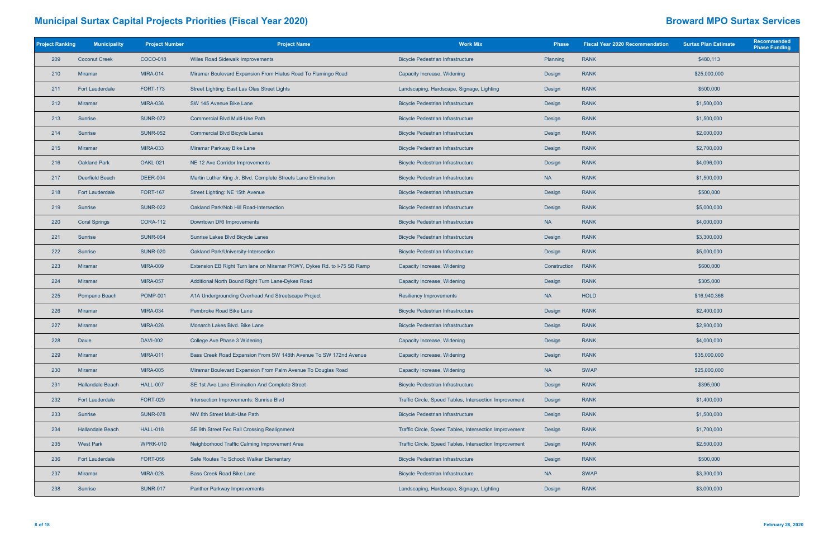| <b>Project Ranking</b> | <b>Municipality</b>     | <b>Project Number</b> | <b>Project Name</b>                                                     | <b>Work Mix</b>                                        | <b>Phase</b> | <b>Fiscal Year 2020 Recommendation</b> | <b>Surtax Plan Estimate</b> | Recommended<br><b>Phase Funding</b> |
|------------------------|-------------------------|-----------------------|-------------------------------------------------------------------------|--------------------------------------------------------|--------------|----------------------------------------|-----------------------------|-------------------------------------|
| 209                    | <b>Coconut Creek</b>    | COCO-018              | <b>Wiles Road Sidewalk Improvements</b>                                 | <b>Bicycle Pedestrian Infrastructure</b>               | Planning     | <b>RANK</b>                            | \$480,113                   |                                     |
| 210                    | <b>Miramar</b>          | <b>MIRA-014</b>       | Miramar Boulevard Expansion From Hiatus Road To Flamingo Road           | Capacity Increase, Widening                            | Design       | <b>RANK</b>                            | \$25,000,000                |                                     |
| 211                    | <b>Fort Lauderdale</b>  | <b>FORT-173</b>       | Street Lighting: East Las Olas Street Lights                            | Landscaping, Hardscape, Signage, Lighting              | Design       | <b>RANK</b>                            | \$500,000                   |                                     |
| 212                    | Miramar                 | <b>MIRA-036</b>       | SW 145 Avenue Bike Lane                                                 | <b>Bicycle Pedestrian Infrastructure</b>               | Design       | <b>RANK</b>                            | \$1,500,000                 |                                     |
| 213                    | Sunrise                 | <b>SUNR-072</b>       | <b>Commercial Blvd Multi-Use Path</b>                                   | <b>Bicycle Pedestrian Infrastructure</b>               | Design       | <b>RANK</b>                            | \$1,500,000                 |                                     |
| 214                    | Sunrise                 | <b>SUNR-052</b>       | <b>Commercial Blvd Bicycle Lanes</b>                                    | <b>Bicycle Pedestrian Infrastructure</b>               | Design       | <b>RANK</b>                            | \$2,000,000                 |                                     |
| 215                    | Miramar                 | <b>MIRA-033</b>       | Miramar Parkway Bike Lane                                               | <b>Bicycle Pedestrian Infrastructure</b>               | Design       | <b>RANK</b>                            | \$2,700,000                 |                                     |
| 216                    | <b>Oakland Park</b>     | OAKL-021              | NE 12 Ave Corridor Improvements                                         | <b>Bicycle Pedestrian Infrastructure</b>               | Design       | <b>RANK</b>                            | \$4,096,000                 |                                     |
| 217                    | <b>Deerfield Beach</b>  | <b>DEER-004</b>       | Martin Luther King Jr. Blvd. Complete Streets Lane Elimination          | <b>Bicycle Pedestrian Infrastructure</b>               | <b>NA</b>    | <b>RANK</b>                            | \$1,500,000                 |                                     |
| 218                    | <b>Fort Lauderdale</b>  | <b>FORT-167</b>       | Street Lighting: NE 15th Avenue                                         | <b>Bicycle Pedestrian Infrastructure</b>               | Design       | <b>RANK</b>                            | \$500,000                   |                                     |
| 219                    | Sunrise                 | <b>SUNR-022</b>       | Oakland Park/Nob Hill Road-Intersection                                 | <b>Bicycle Pedestrian Infrastructure</b>               | Design       | <b>RANK</b>                            | \$5,000,000                 |                                     |
| 220                    | <b>Coral Springs</b>    | <b>CORA-112</b>       | Downtown DRI Improvements                                               | <b>Bicycle Pedestrian Infrastructure</b>               | <b>NA</b>    | <b>RANK</b>                            | \$4,000,000                 |                                     |
| 221                    | Sunrise                 | <b>SUNR-064</b>       | Sunrise Lakes Blvd Bicycle Lanes                                        | <b>Bicycle Pedestrian Infrastructure</b>               | Design       | <b>RANK</b>                            | \$3,300,000                 |                                     |
| 222                    | Sunrise                 | <b>SUNR-020</b>       | Oakland Park/University-Intersection                                    | <b>Bicycle Pedestrian Infrastructure</b>               | Design       | <b>RANK</b>                            | \$5,000,000                 |                                     |
| 223                    | Miramar                 | <b>MIRA-009</b>       | Extension EB Right Turn lane on Miramar PKWY, Dykes Rd. to I-75 SB Ramp | Capacity Increase, Widening                            | Construction | <b>RANK</b>                            | \$600,000                   |                                     |
| 224                    | <b>Miramar</b>          | <b>MIRA-057</b>       | Additional North Bound Right Turn Lane-Dykes Road                       | Capacity Increase, Widening                            | Design       | <b>RANK</b>                            | \$305,000                   |                                     |
| 225                    | Pompano Beach           | <b>POMP-001</b>       | A1A Undergrounding Overhead And Streetscape Project                     | <b>Resiliency Improvements</b>                         | <b>NA</b>    | <b>HOLD</b>                            | \$16,940,366                |                                     |
| 226                    | <b>Miramar</b>          | <b>MIRA-034</b>       | Pembroke Road Bike Lane                                                 | <b>Bicycle Pedestrian Infrastructure</b>               | Design       | <b>RANK</b>                            | \$2,400,000                 |                                     |
| 227                    | Miramar                 | <b>MIRA-026</b>       | Monarch Lakes Blvd. Bike Lane                                           | <b>Bicycle Pedestrian Infrastructure</b>               | Design       | <b>RANK</b>                            | \$2,900,000                 |                                     |
| 228                    | Davie                   | <b>DAVI-002</b>       | College Ave Phase 3 Widening                                            | Capacity Increase, Widening                            | Design       | <b>RANK</b>                            | \$4,000,000                 |                                     |
| 229                    | <b>Miramar</b>          | <b>MIRA-011</b>       | Bass Creek Road Expansion From SW 148th Avenue To SW 172nd Avenue       | Capacity Increase, Widening                            | Design       | <b>RANK</b>                            | \$35,000,000                |                                     |
| 230                    | Miramar                 | <b>MIRA-005</b>       | Miramar Boulevard Expansion From Palm Avenue To Douglas Road            | Capacity Increase, Widening                            | <b>NA</b>    | <b>SWAP</b>                            | \$25,000,000                |                                     |
| 231                    | <b>Hallandale Beach</b> | <b>HALL-007</b>       | SE 1st Ave Lane Elimination And Complete Street                         | <b>Bicycle Pedestrian Infrastructure</b>               | Design       | <b>RANK</b>                            | \$395,000                   |                                     |
| 232                    | <b>Fort Lauderdale</b>  | <b>FORT-029</b>       | Intersection Improvements: Sunrise Blvd                                 | Traffic Circle, Speed Tables, Intersection Improvement | Design       | <b>RANK</b>                            | \$1,400,000                 |                                     |
| 233                    | Sunrise                 | <b>SUNR-078</b>       | NW 8th Street Multi-Use Path                                            | <b>Bicycle Pedestrian Infrastructure</b>               | Design       | <b>RANK</b>                            | \$1,500,000                 |                                     |
| 234                    | <b>Hallandale Beach</b> | <b>HALL-018</b>       | SE 9th Street Fec Rail Crossing Realignment                             | Traffic Circle, Speed Tables, Intersection Improvement | Design       | <b>RANK</b>                            | \$1,700,000                 |                                     |
| 235                    | <b>West Park</b>        | <b>WPRK-010</b>       | Neighborhood Traffic Calming Improvement Area                           | Traffic Circle, Speed Tables, Intersection Improvement | Design       | <b>RANK</b>                            | \$2,500,000                 |                                     |
| 236                    | <b>Fort Lauderdale</b>  | <b>FORT-056</b>       | Safe Routes To School: Walker Elementary                                | <b>Bicycle Pedestrian Infrastructure</b>               | Design       | <b>RANK</b>                            | \$500,000                   |                                     |
| 237                    | <b>Miramar</b>          | <b>MIRA-028</b>       | <b>Bass Creek Road Bike Lane</b>                                        | <b>Bicycle Pedestrian Infrastructure</b>               | <b>NA</b>    | <b>SWAP</b>                            | \$3,300,000                 |                                     |
| 238                    | Sunrise                 | <b>SUNR-017</b>       | <b>Panther Parkway Improvements</b>                                     | Landscaping, Hardscape, Signage, Lighting              | Design       | <b>RANK</b>                            | \$3,000,000                 |                                     |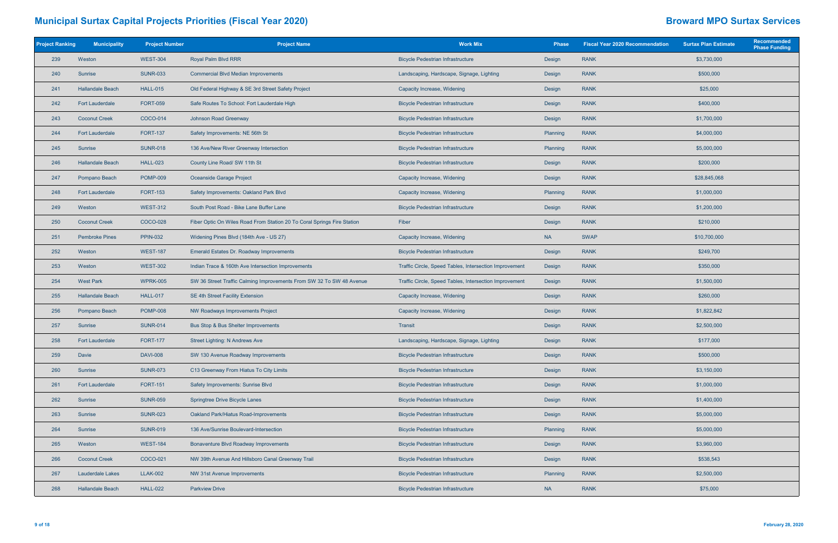| <b>Project Ranking</b> | <b>Municipality</b>     | <b>Project Number</b> | <b>Project Name</b>                                                     | <b>Work Mix</b>                                        | <b>Phase</b> | <b>Fiscal Year 2020 Recommendation</b> | <b>Surtax Plan Estimate</b> | Recommended<br><b>Phase Funding</b> |
|------------------------|-------------------------|-----------------------|-------------------------------------------------------------------------|--------------------------------------------------------|--------------|----------------------------------------|-----------------------------|-------------------------------------|
| 239                    | Weston                  | <b>WEST-304</b>       | Royal Palm Blvd RRR                                                     | <b>Bicycle Pedestrian Infrastructure</b>               | Design       | <b>RANK</b>                            | \$3,730,000                 |                                     |
| 240                    | Sunrise                 | <b>SUNR-033</b>       | <b>Commercial Blvd Median Improvements</b>                              | Landscaping, Hardscape, Signage, Lighting              | Design       | <b>RANK</b>                            | \$500,000                   |                                     |
| 241                    | <b>Hallandale Beach</b> | <b>HALL-015</b>       | Old Federal Highway & SE 3rd Street Safety Project                      | Capacity Increase, Widening                            | Design       | <b>RANK</b>                            | \$25,000                    |                                     |
| 242                    | <b>Fort Lauderdale</b>  | <b>FORT-059</b>       | Safe Routes To School: Fort Lauderdale High                             | <b>Bicycle Pedestrian Infrastructure</b>               | Design       | <b>RANK</b>                            | \$400,000                   |                                     |
| 243                    | <b>Coconut Creek</b>    | COCO-014              | Johnson Road Greenway                                                   | <b>Bicycle Pedestrian Infrastructure</b>               | Design       | <b>RANK</b>                            | \$1,700,000                 |                                     |
| 244                    | <b>Fort Lauderdale</b>  | <b>FORT-137</b>       | Safety Improvements: NE 56th St                                         | <b>Bicycle Pedestrian Infrastructure</b>               | Planning     | <b>RANK</b>                            | \$4,000,000                 |                                     |
| 245                    | <b>Sunrise</b>          | <b>SUNR-018</b>       | 136 Ave/New River Greenway Intersection                                 | <b>Bicycle Pedestrian Infrastructure</b>               | Planning     | <b>RANK</b>                            | \$5,000,000                 |                                     |
| 246                    | <b>Hallandale Beach</b> | <b>HALL-023</b>       | County Line Road/ SW 11th St                                            | <b>Bicycle Pedestrian Infrastructure</b>               | Design       | <b>RANK</b>                            | \$200,000                   |                                     |
| 247                    | Pompano Beach           | <b>POMP-009</b>       | Oceanside Garage Project                                                | Capacity Increase, Widening                            | Design       | <b>RANK</b>                            | \$28,845,068                |                                     |
| 248                    | <b>Fort Lauderdale</b>  | <b>FORT-153</b>       | Safety Improvements: Oakland Park Blvd                                  | Capacity Increase, Widening                            | Planning     | <b>RANK</b>                            | \$1,000,000                 |                                     |
| 249                    | Weston                  | <b>WEST-312</b>       | South Post Road - Bike Lane Buffer Lane                                 | <b>Bicycle Pedestrian Infrastructure</b>               | Design       | <b>RANK</b>                            | \$1,200,000                 |                                     |
| 250                    | <b>Coconut Creek</b>    | <b>COCO-028</b>       | Fiber Optic On Wiles Road From Station 20 To Coral Springs Fire Station | Fiber                                                  | Design       | <b>RANK</b>                            | \$210,000                   |                                     |
| 251                    | <b>Pembroke Pines</b>   | <b>PPIN-032</b>       | Widening Pines Blvd (184th Ave - US 27)                                 | Capacity Increase, Widening                            | <b>NA</b>    | <b>SWAP</b>                            | \$10,700,000                |                                     |
| 252                    | Weston                  | <b>WEST-187</b>       | Emerald Estates Dr. Roadway Improvements                                | <b>Bicycle Pedestrian Infrastructure</b>               | Design       | <b>RANK</b>                            | \$249,700                   |                                     |
| 253                    | Weston                  | <b>WEST-302</b>       | Indian Trace & 160th Ave Intersection Improvements                      | Traffic Circle, Speed Tables, Intersection Improvement | Design       | <b>RANK</b>                            | \$350,000                   |                                     |
| 254                    | <b>West Park</b>        | <b>WPRK-005</b>       | SW 36 Street Traffic Calming Improvements From SW 32 To SW 48 Avenue    | Traffic Circle, Speed Tables, Intersection Improvement | Design       | <b>RANK</b>                            | \$1,500,000                 |                                     |
| 255                    | <b>Hallandale Beach</b> | <b>HALL-017</b>       | SE 4th Street Facility Extension                                        | Capacity Increase, Widening                            | Design       | <b>RANK</b>                            | \$260,000                   |                                     |
| 256                    | Pompano Beach           | <b>POMP-008</b>       | NW Roadways Improvements Project                                        | Capacity Increase, Widening                            | Design       | <b>RANK</b>                            | \$1,822,842                 |                                     |
| 257                    | Sunrise                 | <b>SUNR-014</b>       | Bus Stop & Bus Shelter Improvements                                     | Transit                                                | Design       | <b>RANK</b>                            | \$2,500,000                 |                                     |
| 258                    | <b>Fort Lauderdale</b>  | <b>FORT-177</b>       | Street Lighting: N Andrews Ave                                          | Landscaping, Hardscape, Signage, Lighting              | Design       | <b>RANK</b>                            | \$177,000                   |                                     |
| 259                    | Davie                   | <b>DAVI-008</b>       | SW 130 Avenue Roadway Improvements                                      | <b>Bicycle Pedestrian Infrastructure</b>               | Design       | <b>RANK</b>                            | \$500,000                   |                                     |
| 260                    | Sunrise                 | <b>SUNR-073</b>       | C13 Greenway From Hiatus To City Limits                                 | <b>Bicycle Pedestrian Infrastructure</b>               | Design       | <b>RANK</b>                            | \$3,150,000                 |                                     |
| 261                    | <b>Fort Lauderdale</b>  | <b>FORT-151</b>       | Safety Improvements: Sunrise Blvd                                       | <b>Bicycle Pedestrian Infrastructure</b>               | Design       | <b>RANK</b>                            | \$1,000,000                 |                                     |
| 262                    | Sunrise                 | <b>SUNR-059</b>       | Springtree Drive Bicycle Lanes                                          | <b>Bicycle Pedestrian Infrastructure</b>               | Design       | <b>RANK</b>                            | \$1,400,000                 |                                     |
| 263                    | Sunrise                 | <b>SUNR-023</b>       | Oakland Park/Hiatus Road-Improvements                                   | <b>Bicycle Pedestrian Infrastructure</b>               | Design       | <b>RANK</b>                            | \$5,000,000                 |                                     |
| 264                    | Sunrise                 | <b>SUNR-019</b>       | 136 Ave/Sunrise Boulevard-Intersection                                  | <b>Bicycle Pedestrian Infrastructure</b>               | Planning     | <b>RANK</b>                            | \$5,000,000                 |                                     |
| 265                    | Weston                  | <b>WEST-184</b>       | Bonaventure Blvd Roadway Improvements                                   | <b>Bicycle Pedestrian Infrastructure</b>               | Design       | <b>RANK</b>                            | \$3,960,000                 |                                     |
| 266                    | <b>Coconut Creek</b>    | COCO-021              | NW 39th Avenue And Hillsboro Canal Greenway Trail                       | <b>Bicycle Pedestrian Infrastructure</b>               | Design       | <b>RANK</b>                            | \$538,543                   |                                     |
| 267                    | Lauderdale Lakes        | <b>LLAK-002</b>       | NW 31st Avenue Improvements                                             | <b>Bicycle Pedestrian Infrastructure</b>               | Planning     | <b>RANK</b>                            | \$2,500,000                 |                                     |
| 268                    | <b>Hallandale Beach</b> | <b>HALL-022</b>       | <b>Parkview Drive</b>                                                   | <b>Bicycle Pedestrian Infrastructure</b>               | <b>NA</b>    | <b>RANK</b>                            | \$75,000                    |                                     |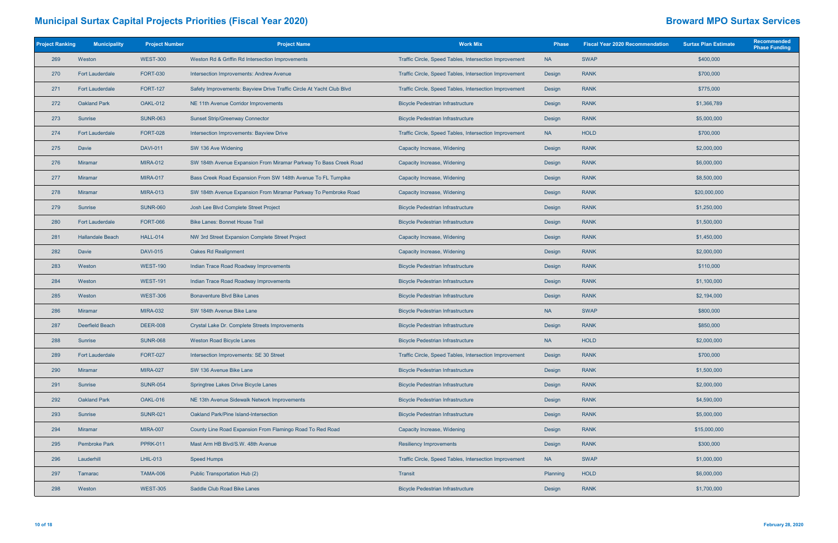| <b>Project Ranking</b> | <b>Municipality</b>     | <b>Project Number</b> | <b>Project Name</b>                                                  | <b>Work Mix</b>                                        | <b>Phase</b> | <b>Fiscal Year 2020 Recommendation</b> | <b>Surtax Plan Estimate</b> | Recommended<br><b>Phase Funding</b> |
|------------------------|-------------------------|-----------------------|----------------------------------------------------------------------|--------------------------------------------------------|--------------|----------------------------------------|-----------------------------|-------------------------------------|
| 269                    | Weston                  | <b>WEST-300</b>       | Weston Rd & Griffin Rd Intersection Improvements                     | Traffic Circle, Speed Tables, Intersection Improvement | <b>NA</b>    | <b>SWAP</b>                            | \$400,000                   |                                     |
| 270                    | <b>Fort Lauderdale</b>  | <b>FORT-030</b>       | Intersection Improvements: Andrew Avenue                             | Traffic Circle, Speed Tables, Intersection Improvement | Design       | <b>RANK</b>                            | \$700,000                   |                                     |
| 271                    | <b>Fort Lauderdale</b>  | <b>FORT-127</b>       | Safety Improvements: Bayview Drive Traffic Circle At Yacht Club Blvd | Traffic Circle, Speed Tables, Intersection Improvement | Design       | <b>RANK</b>                            | \$775,000                   |                                     |
| 272                    | <b>Oakland Park</b>     | OAKL-012              | NE 11th Avenue Corridor Improvements                                 | <b>Bicycle Pedestrian Infrastructure</b>               | Design       | <b>RANK</b>                            | \$1,366,789                 |                                     |
| 273                    | Sunrise                 | <b>SUNR-063</b>       | <b>Sunset Strip/Greenway Connector</b>                               | <b>Bicycle Pedestrian Infrastructure</b>               | Design       | <b>RANK</b>                            | \$5,000,000                 |                                     |
| 274                    | <b>Fort Lauderdale</b>  | <b>FORT-028</b>       | Intersection Improvements: Bayview Drive                             | Traffic Circle, Speed Tables, Intersection Improvement | <b>NA</b>    | <b>HOLD</b>                            | \$700,000                   |                                     |
| 275                    | Davie                   | <b>DAVI-011</b>       | SW 136 Ave Widening                                                  | Capacity Increase, Widening                            | Design       | <b>RANK</b>                            | \$2,000,000                 |                                     |
| 276                    | <b>Miramar</b>          | <b>MIRA-012</b>       | SW 184th Avenue Expansion From Miramar Parkway To Bass Creek Road    | Capacity Increase, Widening                            | Design       | <b>RANK</b>                            | \$6,000,000                 |                                     |
| 277                    | Miramar                 | <b>MIRA-017</b>       | Bass Creek Road Expansion From SW 148th Avenue To FL Turnpike        | Capacity Increase, Widening                            | Design       | <b>RANK</b>                            | \$8,500,000                 |                                     |
| 278                    | Miramar                 | <b>MIRA-013</b>       | SW 184th Avenue Expansion From Miramar Parkway To Pembroke Road      | Capacity Increase, Widening                            | Design       | <b>RANK</b>                            | \$20,000,000                |                                     |
| 279                    | Sunrise                 | <b>SUNR-060</b>       | Josh Lee Blvd Complete Street Project                                | <b>Bicycle Pedestrian Infrastructure</b>               | Design       | <b>RANK</b>                            | \$1,250,000                 |                                     |
| 280                    | <b>Fort Lauderdale</b>  | <b>FORT-066</b>       | <b>Bike Lanes: Bonnet House Trail</b>                                | <b>Bicycle Pedestrian Infrastructure</b>               | Design       | <b>RANK</b>                            | \$1,500,000                 |                                     |
| 281                    | <b>Hallandale Beach</b> | <b>HALL-014</b>       | NW 3rd Street Expansion Complete Street Project                      | Capacity Increase, Widening                            | Design       | <b>RANK</b>                            | \$1,450,000                 |                                     |
| 282                    | Davie                   | <b>DAVI-015</b>       | Oakes Rd Realignment                                                 | Capacity Increase, Widening                            | Design       | <b>RANK</b>                            | \$2,000,000                 |                                     |
| 283                    | Weston                  | <b>WEST-190</b>       | Indian Trace Road Roadway Improvements                               | <b>Bicycle Pedestrian Infrastructure</b>               | Design       | <b>RANK</b>                            | \$110,000                   |                                     |
| 284                    | Weston                  | <b>WEST-191</b>       | Indian Trace Road Roadway Improvements                               | <b>Bicycle Pedestrian Infrastructure</b>               | Design       | <b>RANK</b>                            | \$1,100,000                 |                                     |
| 285                    | Weston                  | <b>WEST-306</b>       | <b>Bonaventure Blvd Bike Lanes</b>                                   | <b>Bicycle Pedestrian Infrastructure</b>               | Design       | <b>RANK</b>                            | \$2,194,000                 |                                     |
| 286                    | <b>Miramar</b>          | <b>MIRA-032</b>       | SW 184th Avenue Bike Lane                                            | <b>Bicycle Pedestrian Infrastructure</b>               | <b>NA</b>    | <b>SWAP</b>                            | \$800,000                   |                                     |
| 287                    | Deerfield Beach         | <b>DEER-008</b>       | Crystal Lake Dr. Complete Streets Improvements                       | <b>Bicycle Pedestrian Infrastructure</b>               | Design       | <b>RANK</b>                            | \$850,000                   |                                     |
| 288                    | Sunrise                 | <b>SUNR-068</b>       | <b>Weston Road Bicycle Lanes</b>                                     | <b>Bicycle Pedestrian Infrastructure</b>               | <b>NA</b>    | <b>HOLD</b>                            | \$2,000,000                 |                                     |
| 289                    | <b>Fort Lauderdale</b>  | <b>FORT-027</b>       | Intersection Improvements: SE 30 Street                              | Traffic Circle, Speed Tables, Intersection Improvement | Design       | <b>RANK</b>                            | \$700,000                   |                                     |
| 290                    | <b>Miramar</b>          | <b>MIRA-027</b>       | SW 136 Avenue Bike Lane                                              | <b>Bicycle Pedestrian Infrastructure</b>               | Design       | <b>RANK</b>                            | \$1,500,000                 |                                     |
| 291                    | Sunrise                 | <b>SUNR-054</b>       | Springtree Lakes Drive Bicycle Lanes                                 | <b>Bicycle Pedestrian Infrastructure</b>               | Design       | <b>RANK</b>                            | \$2,000,000                 |                                     |
| 292                    | <b>Oakland Park</b>     | OAKL-016              | NE 13th Avenue Sidewalk Network Improvements                         | <b>Bicycle Pedestrian Infrastructure</b>               | Design       | <b>RANK</b>                            | \$4,590,000                 |                                     |
| 293                    | Sunrise                 | <b>SUNR-021</b>       | Oakland Park/Pine Island-Intersection                                | <b>Bicycle Pedestrian Infrastructure</b>               | Design       | <b>RANK</b>                            | \$5,000,000                 |                                     |
| 294                    | Miramar                 | <b>MIRA-007</b>       | County Line Road Expansion From Flamingo Road To Red Road            | Capacity Increase, Widening                            | Design       | <b>RANK</b>                            | \$15,000,000                |                                     |
| 295                    | <b>Pembroke Park</b>    | <b>PPRK-011</b>       | Mast Arm HB Blvd/S.W. 48th Avenue                                    | <b>Resiliency Improvements</b>                         | Design       | <b>RANK</b>                            | \$300,000                   |                                     |
| 296                    | Lauderhill              | LHIL-013              | <b>Speed Humps</b>                                                   | Traffic Circle, Speed Tables, Intersection Improvement | <b>NA</b>    | <b>SWAP</b>                            | \$1,000,000                 |                                     |
| 297                    | Tamarac                 | <b>TAMA-006</b>       | Public Transportation Hub (2)                                        | Transit                                                | Planning     | <b>HOLD</b>                            | \$6,000,000                 |                                     |
| 298                    | Weston                  | <b>WEST-305</b>       | Saddle Club Road Bike Lanes                                          | <b>Bicycle Pedestrian Infrastructure</b>               | Design       | <b>RANK</b>                            | \$1,700,000                 |                                     |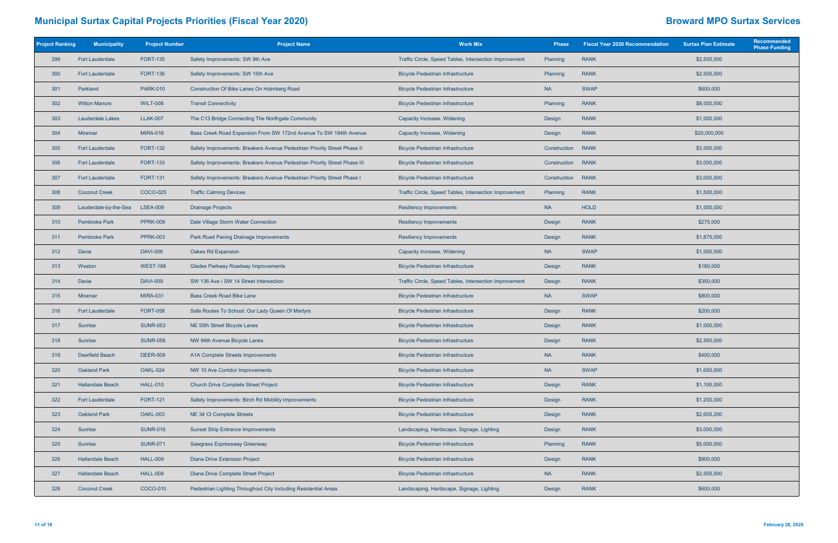| <b>Project Ranking</b> | <b>Municipality</b>     | <b>Project Number</b> | <b>Project Name</b>                                                       | <b>Work Mix</b>                                        | <b>Phase</b> | <b>Fiscal Year 2020 Recommendation</b> | <b>Surtax Plan Estimate</b> | Recommended<br><b>Phase Funding</b> |
|------------------------|-------------------------|-----------------------|---------------------------------------------------------------------------|--------------------------------------------------------|--------------|----------------------------------------|-----------------------------|-------------------------------------|
| 299                    | <b>Fort Lauderdale</b>  | <b>FORT-135</b>       | Safety Improvements: SW 9th Ave                                           | Traffic Circle, Speed Tables, Intersection Improvement | Planning     | <b>RANK</b>                            | \$2,500,000                 |                                     |
| 300                    | <b>Fort Lauderdale</b>  | <b>FORT-136</b>       | Safety Improvements: SW 15th Ave                                          | <b>Bicycle Pedestrian Infrastructure</b>               | Planning     | <b>RANK</b>                            | \$2,500,000                 |                                     |
| 301                    | Parkland                | <b>PARK-010</b>       | Construction Of Bike Lanes On Holmberg Road                               | <b>Bicycle Pedestrian Infrastructure</b>               | <b>NA</b>    | <b>SWAP</b>                            | \$600,000                   |                                     |
| 302                    | <b>Wilton Manors</b>    | <b>WILT-008</b>       | <b>Transit Connectivity</b>                                               | <b>Bicycle Pedestrian Infrastructure</b>               | Planning     | <b>RANK</b>                            | \$8,000,000                 |                                     |
| 303                    | <b>Lauderdale Lakes</b> | <b>LLAK-007</b>       | The C13 Bridge Connecting The Northgate Community                         | Capacity Increase, Widening                            | Design       | <b>RANK</b>                            | \$1,000,000                 |                                     |
| 304                    | <b>Miramar</b>          | <b>MIRA-016</b>       | Bass Creek Road Expansion From SW 172nd Avenue To SW 184th Avenue         | Capacity Increase, Widening                            | Design       | <b>RANK</b>                            | \$20,000,000                |                                     |
| 305                    | <b>Fort Lauderdale</b>  | <b>FORT-132</b>       | Safety Improvements: Breakers Avenue Pedestrian Priority Street Phase II  | <b>Bicycle Pedestrian Infrastructure</b>               | Construction | <b>RANK</b>                            | \$3,000,000                 |                                     |
| 306                    | <b>Fort Lauderdale</b>  | <b>FORT-133</b>       | Safety Improvements: Breakers Avenue Pedestrian Priority Street Phase III | <b>Bicycle Pedestrian Infrastructure</b>               | Construction | <b>RANK</b>                            | \$3,000,000                 |                                     |
| 307                    | <b>Fort Lauderdale</b>  | <b>FORT-131</b>       | Safety Improvements: Breakers Avenue Pedestrian Priority Street Phase I   | <b>Bicycle Pedestrian Infrastructure</b>               | Construction | <b>RANK</b>                            | \$3,000,000                 |                                     |
| 308                    | <b>Coconut Creek</b>    | COCO-025              | <b>Traffic Calming Devices</b>                                            | Traffic Circle, Speed Tables, Intersection Improvement | Planning     | <b>RANK</b>                            | \$1,500,000                 |                                     |
| 309                    | Lauderdale-by-the-Sea   | <b>LSEA-009</b>       | <b>Drainage Projects</b>                                                  | <b>Resiliency Improvements</b>                         | <b>NA</b>    | <b>HOLD</b>                            | \$1,000,000                 |                                     |
| 310                    | <b>Pembroke Park</b>    | <b>PPRK-009</b>       | Dale Village Storm Water Connection                                       | <b>Resiliency Improvements</b>                         | Design       | <b>RANK</b>                            | \$275,000                   |                                     |
| 311                    | <b>Pembroke Park</b>    | <b>PPRK-003</b>       | Park Road Paving Drainage Improvements                                    | <b>Resiliency Improvements</b>                         | Design       | <b>RANK</b>                            | \$1,875,000                 |                                     |
| 312                    | <b>Davie</b>            | <b>DAVI-006</b>       | Oakes Rd Expansion                                                        | Capacity Increase, Widening                            | <b>NA</b>    | <b>SWAP</b>                            | \$1,000,000                 |                                     |
| 313                    | Weston                  | <b>WEST-188</b>       | <b>Glades Parkway Roadway Improvements</b>                                | <b>Bicycle Pedestrian Infrastructure</b>               | Design       | <b>RANK</b>                            | \$180,000                   |                                     |
| 314                    | <b>Davie</b>            | <b>DAVI-009</b>       | SW 136 Ave / SW 14 Street Intersection                                    | Traffic Circle, Speed Tables, Intersection Improvement | Design       | <b>RANK</b>                            | \$350,000                   |                                     |
| 315                    | Miramar                 | <b>MIRA-031</b>       | <b>Bass Creek Road Bike Lane</b>                                          | <b>Bicycle Pedestrian Infrastructure</b>               | <b>NA</b>    | <b>SWAP</b>                            | \$800,000                   |                                     |
| 316                    | <b>Fort Lauderdale</b>  | <b>FORT-058</b>       | Safe Routes To School: Our Lady Queen Of Martyrs                          | <b>Bicycle Pedestrian Infrastructure</b>               | Design       | <b>RANK</b>                            | \$200,000                   |                                     |
| 317                    | Sunrise                 | <b>SUNR-053</b>       | NE 50th Street Bicycle Lanes                                              | <b>Bicycle Pedestrian Infrastructure</b>               | Design       | <b>RANK</b>                            | \$1,000,000                 |                                     |
| 318                    | <b>Sunrise</b>          | <b>SUNR-058</b>       | NW 94th Avenue Bicycle Lanes                                              | <b>Bicycle Pedestrian Infrastructure</b>               | Design       | <b>RANK</b>                            | \$2,550,000                 |                                     |
| 319                    | Deerfield Beach         | <b>DEER-009</b>       | A1A Complete Streets Improvements                                         | <b>Bicycle Pedestrian Infrastructure</b>               | <b>NA</b>    | <b>RANK</b>                            | \$400,000                   |                                     |
| 320                    | <b>Oakland Park</b>     | OAKL-024              | NW 10 Ave Corridor Improvements                                           | <b>Bicycle Pedestrian Infrastructure</b>               | <b>NA</b>    | <b>SWAP</b>                            | \$1,650,000                 |                                     |
| 321                    | <b>Hallandale Beach</b> | <b>HALL-010</b>       | <b>Church Drive Complete Street Project</b>                               | <b>Bicycle Pedestrian Infrastructure</b>               | Design       | <b>RANK</b>                            | \$1,100,000                 |                                     |
| 322                    | <b>Fort Lauderdale</b>  | <b>FORT-121</b>       | Safety Improvements: Birch Rd Mobility Improvements                       | <b>Bicycle Pedestrian Infrastructure</b>               | Design       | <b>RANK</b>                            | \$1,200,000                 |                                     |
| 323                    | <b>Oakland Park</b>     | OAKL-003              | NE 34 Ct Complete Streets                                                 | <b>Bicycle Pedestrian Infrastructure</b>               | Design       | <b>RANK</b>                            | \$2,605,200                 |                                     |
| 324                    | Sunrise                 | <b>SUNR-016</b>       | <b>Sunset Strip Entrance Improvements</b>                                 | Landscaping, Hardscape, Signage, Lighting              | Design       | <b>RANK</b>                            | \$3,000,000                 |                                     |
| 325                    | Sunrise                 | <b>SUNR-071</b>       | Sawgrass Expressway Greenway                                              | <b>Bicycle Pedestrian Infrastructure</b>               | Planning     | <b>RANK</b>                            | \$5,000,000                 |                                     |
| 326                    | <b>Hallandale Beach</b> | <b>HALL-009</b>       | <b>Diana Drive Extension Project</b>                                      | <b>Bicycle Pedestrian Infrastructure</b>               | Design       | <b>RANK</b>                            | \$900,000                   |                                     |
| 327                    | <b>Hallandale Beach</b> | <b>HALL-008</b>       | Diana Drive Complete Street Project                                       | <b>Bicycle Pedestrian Infrastructure</b>               | <b>NA</b>    | <b>RANK</b>                            | \$2,500,000                 |                                     |
| 328                    | <b>Coconut Creek</b>    | COCO-010              | Pedestrian Lighting Throughout City Including Residential Areas           | Landscaping, Hardscape, Signage, Lighting              | Design       | <b>RANK</b>                            | \$600,000                   |                                     |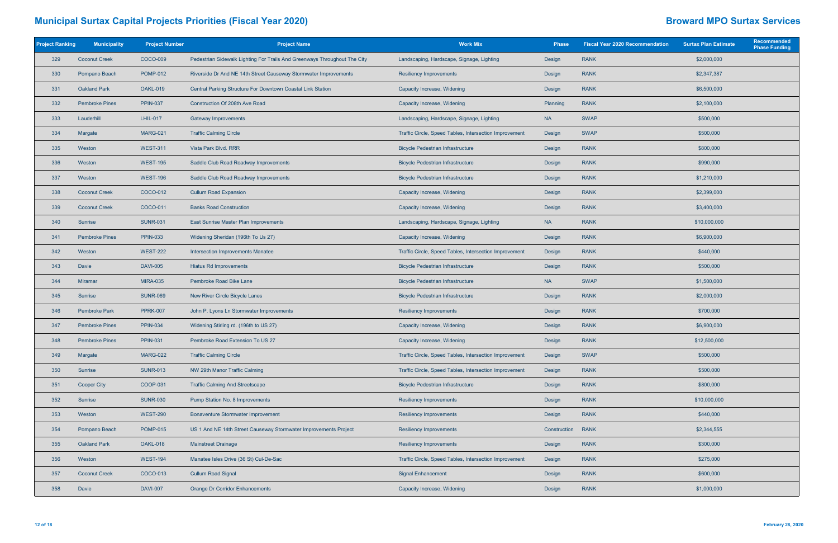| <b>Project Ranking</b> | <b>Municipality</b>   | <b>Project Number</b> | <b>Project Name</b>                                                       | <b>Work Mix</b>                                        | <b>Phase</b> | <b>Fiscal Year 2020 Recommendation</b> | <b>Surtax Plan Estimate</b> | Recommended<br><b>Phase Funding</b> |
|------------------------|-----------------------|-----------------------|---------------------------------------------------------------------------|--------------------------------------------------------|--------------|----------------------------------------|-----------------------------|-------------------------------------|
| 329                    | <b>Coconut Creek</b>  | COCO-009              | Pedestrian Sidewalk Lighting For Trails And Greenways Throughout The City | Landscaping, Hardscape, Signage, Lighting              | Design       | <b>RANK</b>                            | \$2,000,000                 |                                     |
| 330                    | Pompano Beach         | <b>POMP-012</b>       | Riverside Dr And NE 14th Street Causeway Stormwater Improvements          | <b>Resiliency Improvements</b>                         | Design       | <b>RANK</b>                            | \$2,347,387                 |                                     |
| 331                    | <b>Oakland Park</b>   | <b>OAKL-019</b>       | Central Parking Structure For Downtown Coastal Link Station               | Capacity Increase, Widening                            | Design       | <b>RANK</b>                            | \$6,500,000                 |                                     |
| 332                    | <b>Pembroke Pines</b> | <b>PPIN-037</b>       | Construction Of 208th Ave Road                                            | Capacity Increase, Widening                            | Planning     | <b>RANK</b>                            | \$2,100,000                 |                                     |
| 333                    | Lauderhill            | <b>LHIL-017</b>       | <b>Gateway Improvements</b>                                               | Landscaping, Hardscape, Signage, Lighting              | <b>NA</b>    | <b>SWAP</b>                            | \$500,000                   |                                     |
| 334                    | Margate               | <b>MARG-021</b>       | <b>Traffic Calming Circle</b>                                             | Traffic Circle, Speed Tables, Intersection Improvement | Design       | <b>SWAP</b>                            | \$500,000                   |                                     |
| 335                    | Weston                | <b>WEST-311</b>       | Vista Park Blvd. RRR                                                      | <b>Bicycle Pedestrian Infrastructure</b>               | Design       | <b>RANK</b>                            | \$800,000                   |                                     |
| 336                    | Weston                | <b>WEST-195</b>       | Saddle Club Road Roadway Improvements                                     | <b>Bicycle Pedestrian Infrastructure</b>               | Design       | <b>RANK</b>                            | \$990,000                   |                                     |
| 337                    | Weston                | <b>WEST-196</b>       | Saddle Club Road Roadway Improvements                                     | <b>Bicycle Pedestrian Infrastructure</b>               | Design       | <b>RANK</b>                            | \$1,210,000                 |                                     |
| 338                    | <b>Coconut Creek</b>  | COCO-012              | <b>Cullum Road Expansion</b>                                              | Capacity Increase, Widening                            | Design       | <b>RANK</b>                            | \$2,399,000                 |                                     |
| 339                    | <b>Coconut Creek</b>  | COCO-011              | <b>Banks Road Construction</b>                                            | Capacity Increase, Widening                            | Design       | <b>RANK</b>                            | \$3,400,000                 |                                     |
| 340                    | Sunrise               | <b>SUNR-031</b>       | East Sunrise Master Plan Improvements                                     | Landscaping, Hardscape, Signage, Lighting              | <b>NA</b>    | <b>RANK</b>                            | \$10,000,000                |                                     |
| 341                    | <b>Pembroke Pines</b> | <b>PPIN-033</b>       | Widening Sheridan (196th To Us 27)                                        | Capacity Increase, Widening                            | Design       | <b>RANK</b>                            | \$6,900,000                 |                                     |
| 342                    | Weston                | <b>WEST-222</b>       | Intersection Improvements Manatee                                         | Traffic Circle, Speed Tables, Intersection Improvement | Design       | <b>RANK</b>                            | \$440,000                   |                                     |
| 343                    | Davie                 | <b>DAVI-005</b>       | Hiatus Rd Improvements                                                    | <b>Bicycle Pedestrian Infrastructure</b>               | Design       | <b>RANK</b>                            | \$500,000                   |                                     |
| 344                    | <b>Miramar</b>        | <b>MIRA-035</b>       | Pembroke Road Bike Lane                                                   | <b>Bicycle Pedestrian Infrastructure</b>               | <b>NA</b>    | <b>SWAP</b>                            | \$1,500,000                 |                                     |
| 345                    | Sunrise               | <b>SUNR-069</b>       | New River Circle Bicycle Lanes                                            | <b>Bicycle Pedestrian Infrastructure</b>               | Design       | <b>RANK</b>                            | \$2,000,000                 |                                     |
| 346                    | <b>Pembroke Park</b>  | <b>PPRK-007</b>       | John P. Lyons Ln Stormwater Improvements                                  | <b>Resiliency Improvements</b>                         | Design       | <b>RANK</b>                            | \$700,000                   |                                     |
| 347                    | <b>Pembroke Pines</b> | <b>PPIN-034</b>       | Widening Stirling rd. (196th to US 27)                                    | Capacity Increase, Widening                            | Design       | <b>RANK</b>                            | \$6,900,000                 |                                     |
| 348                    | <b>Pembroke Pines</b> | <b>PPIN-031</b>       | Pembroke Road Extension To US 27                                          | Capacity Increase, Widening                            | Design       | <b>RANK</b>                            | \$12,500,000                |                                     |
| 349                    | Margate               | <b>MARG-022</b>       | <b>Traffic Calming Circle</b>                                             | Traffic Circle, Speed Tables, Intersection Improvement | Design       | <b>SWAP</b>                            | \$500,000                   |                                     |
| 350                    | Sunrise               | <b>SUNR-013</b>       | NW 29th Manor Traffic Calming                                             | Traffic Circle, Speed Tables, Intersection Improvement | Design       | <b>RANK</b>                            | \$500,000                   |                                     |
| 351                    | <b>Cooper City</b>    | COOP-031              | <b>Traffic Calming And Streetscape</b>                                    | <b>Bicycle Pedestrian Infrastructure</b>               | Design       | <b>RANK</b>                            | \$800,000                   |                                     |
| 352                    | Sunrise               | <b>SUNR-030</b>       | Pump Station No. 8 Improvements                                           | <b>Resiliency Improvements</b>                         | Design       | <b>RANK</b>                            | \$10,000,000                |                                     |
| 353                    | Weston                | <b>WEST-290</b>       | <b>Bonaventure Stormwater Improvement</b>                                 | <b>Resiliency Improvements</b>                         | Design       | <b>RANK</b>                            | \$440,000                   |                                     |
| 354                    | Pompano Beach         | <b>POMP-015</b>       | US 1 And NE 14th Street Causeway Stormwater Improvements Project          | <b>Resiliency Improvements</b>                         | Construction | <b>RANK</b>                            | \$2,344,555                 |                                     |
| 355                    | <b>Oakland Park</b>   | OAKL-018              | <b>Mainstreet Drainage</b>                                                | <b>Resiliency Improvements</b>                         | Design       | <b>RANK</b>                            | \$300,000                   |                                     |
| 356                    | Weston                | <b>WEST-194</b>       | Manatee Isles Drive (36 St) Cul-De-Sac                                    | Traffic Circle, Speed Tables, Intersection Improvement | Design       | <b>RANK</b>                            | \$275,000                   |                                     |
| 357                    | <b>Coconut Creek</b>  | COCO-013              | <b>Cullum Road Signal</b>                                                 | <b>Signal Enhancement</b>                              | Design       | <b>RANK</b>                            | \$600,000                   |                                     |
| 358                    | Davie                 | <b>DAVI-007</b>       | <b>Orange Dr Corridor Enhancements</b>                                    | Capacity Increase, Widening                            | Design       | <b>RANK</b>                            | \$1,000,000                 |                                     |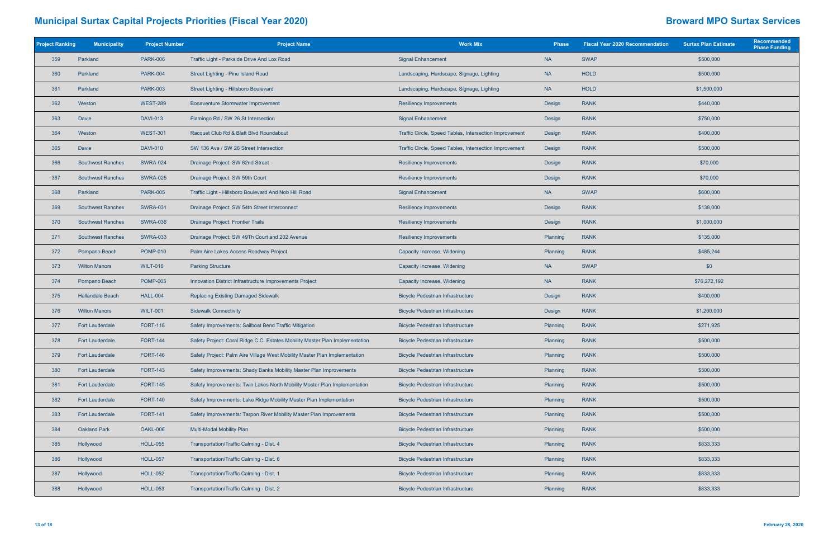| <b>Project Ranking</b> | <b>Municipality</b>      | <b>Project Number</b> | <b>Project Name</b>                                                                                             | <b>Work Mix</b>                                        | <b>Phase</b> | <b>Fiscal Year 2020 Recommendation</b> | <b>Surtax Plan Estimate</b> | Recommended<br><b>Phase Funding</b> |
|------------------------|--------------------------|-----------------------|-----------------------------------------------------------------------------------------------------------------|--------------------------------------------------------|--------------|----------------------------------------|-----------------------------|-------------------------------------|
| 359                    | Parkland                 | <b>PARK-006</b>       | Traffic Light - Parkside Drive And Lox Road                                                                     | <b>Signal Enhancement</b>                              | <b>NA</b>    | <b>SWAP</b>                            | \$500,000                   |                                     |
| 360                    | Parkland                 | <b>PARK-004</b>       | Street Lighting - Pine Island Road                                                                              | Landscaping, Hardscape, Signage, Lighting              | <b>NA</b>    | HOLD                                   | \$500,000                   |                                     |
| 361                    | Parkland                 | <b>PARK-003</b>       | Street Lighting - Hillsboro Boulevard                                                                           | Landscaping, Hardscape, Signage, Lighting              | <b>NA</b>    | <b>HOLD</b>                            | \$1,500,000                 |                                     |
| 362                    | Weston                   | <b>WEST-289</b>       | <b>Bonaventure Stormwater Improvement</b>                                                                       | <b>Resiliency Improvements</b>                         | Design       | <b>RANK</b>                            | \$440,000                   |                                     |
| 363                    | Davie                    | <b>DAVI-013</b>       | Flamingo Rd / SW 26 St Intersection                                                                             | <b>Signal Enhancement</b>                              | Design       | <b>RANK</b>                            | \$750,000                   |                                     |
| 364                    | Weston                   | <b>WEST-301</b>       | Racquet Club Rd & Blatt Blvd Roundabout                                                                         | Traffic Circle, Speed Tables, Intersection Improvement | Design       | <b>RANK</b>                            | \$400,000                   |                                     |
| 365                    | Davie                    | <b>DAVI-010</b>       | SW 136 Ave / SW 26 Street Intersection                                                                          | Traffic Circle, Speed Tables, Intersection Improvement | Design       | <b>RANK</b>                            | \$500,000                   |                                     |
| 366                    | <b>Southwest Ranches</b> | <b>SWRA-024</b>       | Drainage Project: SW 62nd Street                                                                                | <b>Resiliency Improvements</b>                         | Design       | <b>RANK</b>                            | \$70,000                    |                                     |
| 367                    | <b>Southwest Ranches</b> | <b>SWRA-025</b>       | Drainage Project: SW 59th Court                                                                                 | <b>Resiliency Improvements</b>                         | Design       | <b>RANK</b>                            | \$70,000                    |                                     |
| 368                    | Parkland                 | <b>PARK-005</b>       | Traffic Light - Hillsboro Boulevard And Nob Hill Road                                                           | <b>Signal Enhancement</b>                              | <b>NA</b>    | <b>SWAP</b>                            | \$600,000                   |                                     |
| 369                    | <b>Southwest Ranches</b> | <b>SWRA-031</b>       | Drainage Project: SW 54th Street Interconnect                                                                   | <b>Resiliency Improvements</b>                         | Design       | <b>RANK</b>                            | \$138,000                   |                                     |
| 370                    | <b>Southwest Ranches</b> | <b>SWRA-036</b>       | Drainage Project: Frontier Trails                                                                               | <b>Resiliency Improvements</b><br>Design               |              | <b>RANK</b>                            | \$1,000,000                 |                                     |
| 371                    | <b>Southwest Ranches</b> | <b>SWRA-033</b>       | Drainage Project: SW 49Th Court and 202 Avenue                                                                  | <b>Resiliency Improvements</b><br>Planning             |              | <b>RANK</b>                            | \$135,000                   |                                     |
| 372                    | Pompano Beach            | <b>POMP-010</b>       | Palm Aire Lakes Access Roadway Project                                                                          | Capacity Increase, Widening                            | Planning     | <b>RANK</b>                            | \$485,244                   |                                     |
| 373                    | <b>Wilton Manors</b>     | <b>WILT-016</b>       | <b>Parking Structure</b>                                                                                        | Capacity Increase, Widening                            | <b>NA</b>    | <b>SWAP</b>                            | \$0                         |                                     |
| 374                    | Pompano Beach            | <b>POMP-005</b>       | Innovation District Infrastructure Improvements Project                                                         | Capacity Increase, Widening                            | <b>NA</b>    | <b>RANK</b>                            | \$76,272,192                |                                     |
| 375                    | <b>Hallandale Beach</b>  | <b>HALL-004</b>       | <b>Replacing Existing Damaged Sidewalk</b>                                                                      | <b>Bicycle Pedestrian Infrastructure</b>               | Design       | <b>RANK</b>                            | \$400,000                   |                                     |
| 376                    | <b>Wilton Manors</b>     | <b>WILT-001</b>       | <b>Sidewalk Connectivity</b>                                                                                    | <b>Bicycle Pedestrian Infrastructure</b>               | Design       | <b>RANK</b>                            | \$1,200,000                 |                                     |
| 377                    | <b>Fort Lauderdale</b>   | <b>FORT-118</b>       | Safety Improvements: Sailboat Bend Traffic Mitigation                                                           | <b>Bicycle Pedestrian Infrastructure</b>               | Planning     | <b>RANK</b>                            | \$271,925                   |                                     |
| 378                    | <b>Fort Lauderdale</b>   | <b>FORT-144</b>       | Safety Project: Coral Ridge C.C. Estates Mobility Master Plan Implementation                                    | <b>Bicycle Pedestrian Infrastructure</b>               | Planning     | <b>RANK</b>                            | \$500,000                   |                                     |
| 379                    | <b>Fort Lauderdale</b>   | <b>FORT-146</b>       | Safety Project: Palm Aire Village West Mobility Master Plan Implementation                                      | <b>Bicycle Pedestrian Infrastructure</b>               | Planning     | <b>RANK</b>                            | \$500,000                   |                                     |
| 380                    | <b>Fort Lauderdale</b>   | <b>FORT-143</b>       | Safety Improvements: Shady Banks Mobility Master Plan Improvements                                              | <b>Bicycle Pedestrian Infrastructure</b>               | Planning     | <b>RANK</b>                            | \$500,000                   |                                     |
| 381                    | <b>Fort Lauderdale</b>   | <b>FORT-145</b>       | Safety Improvements: Twin Lakes North Mobility Master Plan Implementation                                       | <b>Bicycle Pedestrian Infrastructure</b>               | Planning     | <b>RANK</b>                            | \$500,000                   |                                     |
| 382                    | <b>Fort Lauderdale</b>   | <b>FORT-140</b>       | Safety Improvements: Lake Ridge Mobility Master Plan Implementation                                             | <b>Bicycle Pedestrian Infrastructure</b>               | Planning     | <b>RANK</b>                            | \$500,000                   |                                     |
| 383                    | <b>Fort Lauderdale</b>   | <b>FORT-141</b>       | Safety Improvements: Tarpon River Mobility Master Plan Improvements                                             | <b>Bicycle Pedestrian Infrastructure</b>               | Planning     | <b>RANK</b>                            | \$500,000                   |                                     |
| 384                    | <b>Oakland Park</b>      | OAKL-006              | Multi-Modal Mobility Plan                                                                                       | <b>Bicycle Pedestrian Infrastructure</b>               | Planning     | <b>RANK</b>                            | \$500,000                   |                                     |
| 385                    | Hollywood                | <b>HOLL-055</b>       | Transportation/Traffic Calming - Dist. 4                                                                        | <b>Bicycle Pedestrian Infrastructure</b>               | Planning     | <b>RANK</b>                            | \$833,333                   |                                     |
| 386                    | Hollywood                | <b>HOLL-057</b>       | Transportation/Traffic Calming - Dist. 6                                                                        | <b>Bicycle Pedestrian Infrastructure</b>               | Planning     | <b>RANK</b>                            | \$833,333                   |                                     |
| 387                    | Hollywood                | <b>HOLL-052</b>       | Transportation/Traffic Calming - Dist. 1                                                                        | <b>Bicycle Pedestrian Infrastructure</b>               | Planning     | <b>RANK</b>                            | \$833,333                   |                                     |
| 388                    | Hollywood                | <b>HOLL-053</b>       | Transportation/Traffic Calming - Dist. 2<br><b>Bicycle Pedestrian Infrastructure</b><br><b>RANK</b><br>Planning |                                                        |              | \$833,333                              |                             |                                     |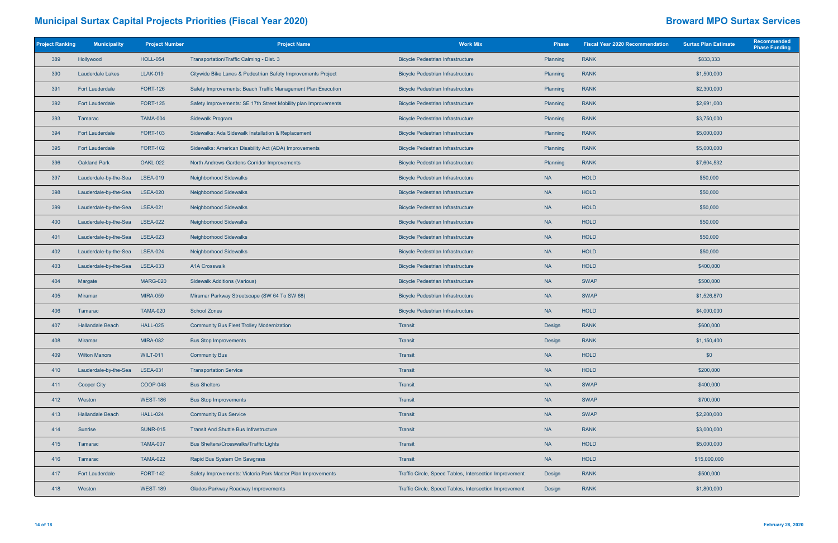| <b>Project Ranking</b> | <b>Municipality</b>     | <b>Project Number</b> | <b>Project Name</b>                                            | <b>Work Mix</b>                                        | <b>Phase</b> |                            | <b>Surtax Plan Estimate</b> | <b>Recommended</b><br><b>Phase Funding</b> |
|------------------------|-------------------------|-----------------------|----------------------------------------------------------------|--------------------------------------------------------|--------------|----------------------------|-----------------------------|--------------------------------------------|
| 389                    | Hollywood               | <b>HOLL-054</b>       | Transportation/Traffic Calming - Dist. 3                       | <b>Bicycle Pedestrian Infrastructure</b>               | Planning     | <b>RANK</b>                | \$833,333                   |                                            |
| 390                    | Lauderdale Lakes        | <b>LLAK-019</b>       | Citywide Bike Lanes & Pedestrian Safety Improvements Project   | <b>Bicycle Pedestrian Infrastructure</b>               | Planning     | \$1,500,000<br><b>RANK</b> |                             |                                            |
| 391                    | <b>Fort Lauderdale</b>  | <b>FORT-126</b>       | Safety Improvements: Beach Traffic Management Plan Execution   | <b>Bicycle Pedestrian Infrastructure</b>               | Planning     | <b>RANK</b>                | \$2,300,000                 |                                            |
| 392                    | <b>Fort Lauderdale</b>  | <b>FORT-125</b>       | Safety Improvements: SE 17th Street Mobility plan Improvements | <b>Bicycle Pedestrian Infrastructure</b>               | Planning     | <b>RANK</b>                | \$2,691,000                 |                                            |
| 393                    | Tamarac                 | <b>TAMA-004</b>       | Sidewalk Program                                               | <b>Bicycle Pedestrian Infrastructure</b>               | Planning     | <b>RANK</b>                | \$3,750,000                 |                                            |
| 394                    | <b>Fort Lauderdale</b>  | <b>FORT-103</b>       | Sidewalks: Ada Sidewalk Installation & Replacement             | <b>Bicycle Pedestrian Infrastructure</b>               | Planning     | <b>RANK</b>                | \$5,000,000                 |                                            |
| 395                    | <b>Fort Lauderdale</b>  | <b>FORT-102</b>       | Sidewalks: American Disability Act (ADA) Improvements          | <b>Bicycle Pedestrian Infrastructure</b>               | Planning     | <b>RANK</b>                | \$5,000,000                 |                                            |
| 396                    | <b>Oakland Park</b>     | <b>OAKL-022</b>       | North Andrews Gardens Corridor Improvements                    | <b>Bicycle Pedestrian Infrastructure</b>               | Planning     | <b>RANK</b>                | \$7,604,532                 |                                            |
| 397                    | Lauderdale-by-the-Sea   | <b>LSEA-019</b>       | Neighborhood Sidewalks                                         | <b>Bicycle Pedestrian Infrastructure</b>               | <b>NA</b>    | <b>HOLD</b>                | \$50,000                    |                                            |
| 398                    | Lauderdale-by-the-Sea   | <b>LSEA-020</b>       | Neighborhood Sidewalks                                         | <b>Bicycle Pedestrian Infrastructure</b>               | <b>NA</b>    | <b>HOLD</b>                | \$50,000                    |                                            |
| 399                    | Lauderdale-by-the-Sea   | <b>LSEA-021</b>       | Neighborhood Sidewalks                                         | <b>Bicycle Pedestrian Infrastructure</b>               | <b>NA</b>    | <b>HOLD</b>                | \$50,000                    |                                            |
| 400                    | Lauderdale-by-the-Sea   | <b>LSEA-022</b>       | <b>Neighborhood Sidewalks</b>                                  | <b>Bicycle Pedestrian Infrastructure</b>               | <b>NA</b>    | <b>HOLD</b>                | \$50,000                    |                                            |
| 401                    | Lauderdale-by-the-Sea   | <b>LSEA-023</b>       | Neighborhood Sidewalks                                         | <b>Bicycle Pedestrian Infrastructure</b>               | <b>NA</b>    | <b>HOLD</b>                | \$50,000                    |                                            |
| 402                    | Lauderdale-by-the-Sea   | <b>LSEA-024</b>       | Neighborhood Sidewalks                                         | <b>Bicycle Pedestrian Infrastructure</b>               | <b>NA</b>    | <b>HOLD</b>                | \$50,000                    |                                            |
| 403                    | Lauderdale-by-the-Sea   | <b>LSEA-033</b>       | <b>A1A Crosswalk</b>                                           | <b>Bicycle Pedestrian Infrastructure</b>               | <b>NA</b>    | <b>HOLD</b>                | \$400,000                   |                                            |
| 404                    | Margate                 | <b>MARG-020</b>       | <b>Sidewalk Additions (Various)</b>                            | <b>Bicycle Pedestrian Infrastructure</b>               | <b>NA</b>    | <b>SWAP</b>                | \$500,000                   |                                            |
| 405                    | Miramar                 | <b>MIRA-059</b>       | Miramar Parkway Streetscape (SW 64 To SW 68)                   | <b>Bicycle Pedestrian Infrastructure</b>               | <b>NA</b>    | <b>SWAP</b>                | \$1,526,870                 |                                            |
| 406                    | Tamarac                 | <b>TAMA-020</b>       | <b>School Zones</b>                                            | <b>Bicycle Pedestrian Infrastructure</b>               | <b>NA</b>    | <b>HOLD</b>                | \$4,000,000                 |                                            |
| 407                    | <b>Hallandale Beach</b> | <b>HALL-025</b>       | <b>Community Bus Fleet Trolley Modernization</b>               | Transit                                                | Design       | <b>RANK</b>                | \$600,000                   |                                            |
| 408                    | <b>Miramar</b>          | <b>MIRA-082</b>       | <b>Bus Stop Improvements</b>                                   | Transit                                                | Design       | <b>RANK</b>                | \$1,150,400                 |                                            |
| 409                    | <b>Wilton Manors</b>    | <b>WILT-011</b>       | <b>Community Bus</b>                                           | Transit                                                | <b>NA</b>    | <b>HOLD</b>                | \$0                         |                                            |
| 410                    | Lauderdale-by-the-Sea   | <b>LSEA-031</b>       | <b>Transportation Service</b>                                  | Transit                                                | <b>NA</b>    | <b>HOLD</b>                | \$200,000                   |                                            |
| 411                    | <b>Cooper City</b>      | <b>COOP-048</b>       | <b>Bus Shelters</b>                                            | Transit                                                | <b>NA</b>    | <b>SWAP</b>                | \$400,000                   |                                            |
| 412                    | Weston                  | <b>WEST-186</b>       | <b>Bus Stop Improvements</b>                                   | Transit                                                | <b>NA</b>    | <b>SWAP</b>                | \$700,000                   |                                            |
| 413                    | Hallandale Beach        | <b>HALL-024</b>       | <b>Community Bus Service</b>                                   | Transit                                                | <b>NA</b>    | <b>SWAP</b>                | \$2,200,000                 |                                            |
| 414                    | Sunrise                 | <b>SUNR-015</b>       | <b>Transit And Shuttle Bus Infrastructure</b>                  | Transit                                                | <b>NA</b>    | <b>RANK</b>                | \$3,000,000                 |                                            |
| 415                    | Tamarac                 | <b>TAMA-007</b>       | <b>Bus Shelters/Crosswalks/Traffic Lights</b>                  | Transit                                                | <b>NA</b>    | <b>HOLD</b>                | \$5,000,000                 |                                            |
| 416                    | Tamarac                 | <b>TAMA-022</b>       | Rapid Bus System On Sawgrass                                   | Transit                                                | <b>NA</b>    | <b>HOLD</b>                | \$15,000,000                |                                            |
| 417                    | <b>Fort Lauderdale</b>  | <b>FORT-142</b>       | Safety Improvements: Victoria Park Master Plan Improvements    | Traffic Circle, Speed Tables, Intersection Improvement | Design       | <b>RANK</b>                | \$500,000                   |                                            |
| 418                    | Weston                  | <b>WEST-189</b>       | <b>Glades Parkway Roadway Improvements</b>                     | Traffic Circle, Speed Tables, Intersection Improvement | Design       | <b>RANK</b>                | \$1,800,000                 |                                            |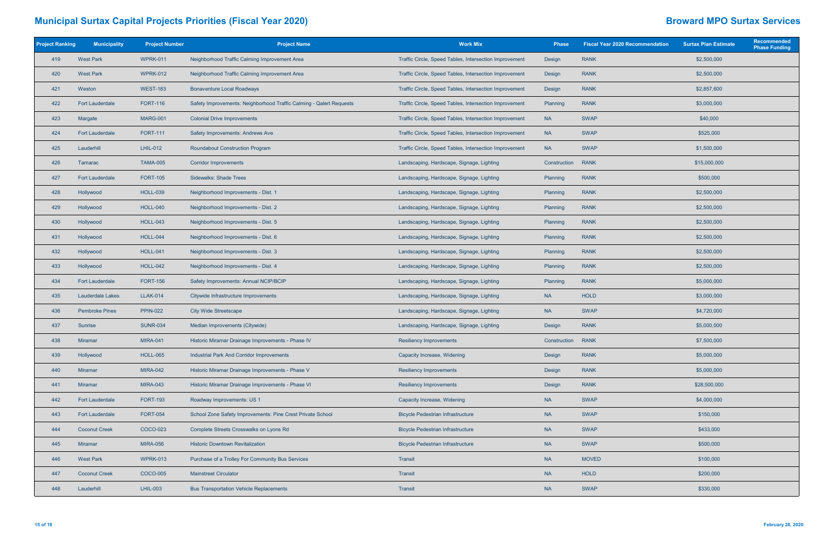| <b>Project Ranking</b> | <b>Municipality</b>     | <b>Project Number</b> | <b>Project Name</b>                                                 | <b>Work Mix</b>                                                      | <b>Phase</b> | <b>Fiscal Year 2020 Recommendation</b> | <b>Surtax Plan Estimate</b> | Recommended<br><b>Phase Funding</b> |
|------------------------|-------------------------|-----------------------|---------------------------------------------------------------------|----------------------------------------------------------------------|--------------|----------------------------------------|-----------------------------|-------------------------------------|
| 419                    | <b>West Park</b>        | <b>WPRK-011</b>       | Neighborhood Traffic Calming Improvement Area                       | Traffic Circle, Speed Tables, Intersection Improvement               | Design       | <b>RANK</b>                            | \$2,500,000                 |                                     |
| 420                    | <b>West Park</b>        | <b>WPRK-012</b>       | Neighborhood Traffic Calming Improvement Area                       | Traffic Circle, Speed Tables, Intersection Improvement               | Design       | <b>RANK</b>                            | \$2,500,000                 |                                     |
| 421                    | Weston                  | <b>WEST-183</b>       | <b>Bonaventure Local Roadways</b>                                   | Traffic Circle, Speed Tables, Intersection Improvement               | Design       | <b>RANK</b>                            | \$2,857,600                 |                                     |
| 422                    | <b>Fort Lauderdale</b>  | <b>FORT-116</b>       | Safety Improvements: Neighborhood Traffic Calming - Qalert Requests | Traffic Circle, Speed Tables, Intersection Improvement               | Planning     | <b>RANK</b>                            | \$3,000,000                 |                                     |
| 423                    | Margate                 | MARG-001              | <b>Colonial Drive Improvements</b>                                  | Traffic Circle, Speed Tables, Intersection Improvement               | <b>NA</b>    | <b>SWAP</b>                            | \$40,000                    |                                     |
| 424                    | <b>Fort Lauderdale</b>  | <b>FORT-111</b>       | Safety Improvements: Andrews Ave                                    | Traffic Circle, Speed Tables, Intersection Improvement               | <b>NA</b>    | <b>SWAP</b>                            | \$525,000                   |                                     |
| 425                    | Lauderhill              | LHIL-012              | <b>Roundabout Construction Program</b>                              | Traffic Circle, Speed Tables, Intersection Improvement               | <b>NA</b>    | <b>SWAP</b>                            | \$1,500,000                 |                                     |
| 426                    | Tamarac                 | <b>TAMA-005</b>       | <b>Corridor Improvements</b>                                        | Landscaping, Hardscape, Signage, Lighting                            | Construction | <b>RANK</b>                            | \$15,000,000                |                                     |
| 427                    | <b>Fort Lauderdale</b>  | <b>FORT-105</b>       | <b>Sidewalks: Shade Trees</b>                                       | Landscaping, Hardscape, Signage, Lighting                            | Planning     | <b>RANK</b>                            | \$500,000                   |                                     |
| 428                    | Hollywood               | <b>HOLL-039</b>       | Neighborhood Improvements - Dist. 1                                 | Landscaping, Hardscape, Signage, Lighting                            | Planning     | <b>RANK</b>                            | \$2,500,000                 |                                     |
| 429                    | Hollywood               | <b>HOLL-040</b>       | Neighborhood Improvements - Dist. 2                                 | Landscaping, Hardscape, Signage, Lighting                            | Planning     | <b>RANK</b>                            | \$2,500,000                 |                                     |
| 430                    | Hollywood               | <b>HOLL-043</b>       | Neighborhood Improvements - Dist. 5                                 | Landscaping, Hardscape, Signage, Lighting<br><b>RANK</b><br>Planning |              |                                        | \$2,500,000                 |                                     |
| 431                    | Hollywood               | <b>HOLL-044</b>       | Neighborhood Improvements - Dist. 6                                 | Landscaping, Hardscape, Signage, Lighting                            | Planning     | <b>RANK</b>                            | \$2,500,000                 |                                     |
| 432                    | Hollywood               | <b>HOLL-041</b>       | Neighborhood Improvements - Dist. 3                                 | Landscaping, Hardscape, Signage, Lighting                            | Planning     | <b>RANK</b>                            | \$2,500,000                 |                                     |
| 433                    | Hollywood               | <b>HOLL-042</b>       | Neighborhood Improvements - Dist. 4                                 | Landscaping, Hardscape, Signage, Lighting                            | Planning     | <b>RANK</b>                            | \$2,500,000                 |                                     |
| 434                    | <b>Fort Lauderdale</b>  | <b>FORT-156</b>       | Safety Improvements: Annual NCIP/BCIP                               | Landscaping, Hardscape, Signage, Lighting                            | Planning     | <b>RANK</b>                            | \$5,000,000                 |                                     |
| 435                    | <b>Lauderdale Lakes</b> | <b>LLAK-014</b>       | Citywide Infrastructure Improvements                                | Landscaping, Hardscape, Signage, Lighting                            | <b>NA</b>    | <b>HOLD</b>                            | \$3,000,000                 |                                     |
| 436                    | <b>Pembroke Pines</b>   | <b>PPIN-022</b>       | <b>City Wide Streetscape</b>                                        | Landscaping, Hardscape, Signage, Lighting                            | <b>NA</b>    | <b>SWAP</b>                            | \$4,720,000                 |                                     |
| 437                    | Sunrise                 | <b>SUNR-034</b>       | Median Improvements (Citywide)                                      | Landscaping, Hardscape, Signage, Lighting                            | Design       | <b>RANK</b>                            | \$5,000,000                 |                                     |
| 438                    | <b>Miramar</b>          | <b>MIRA-041</b>       | Historic Miramar Drainage Improvements - Phase IV                   | <b>Resiliency Improvements</b>                                       | Construction | <b>RANK</b>                            | \$7,500,000                 |                                     |
| 439                    | Hollywood               | <b>HOLL-065</b>       | <b>Industrial Park And Corridor Improvements</b>                    | Capacity Increase, Widening                                          | Design       | <b>RANK</b>                            | \$5,000,000                 |                                     |
| 440                    | Miramar                 | <b>MIRA-042</b>       | Historic Miramar Drainage Improvements - Phase V                    | <b>Resiliency Improvements</b>                                       | Design       | <b>RANK</b>                            | \$5,000,000                 |                                     |
| 441                    | <b>Miramar</b>          | <b>MIRA-043</b>       | Historic Miramar Drainage Improvements - Phase VI                   | <b>Resiliency Improvements</b>                                       | Design       | <b>RANK</b>                            | \$28,500,000                |                                     |
| 442                    | <b>Fort Lauderdale</b>  | <b>FORT-193</b>       | Roadway Improvements: US 1                                          | Capacity Increase, Widening                                          | <b>NA</b>    | <b>SWAP</b>                            | \$4,000,000                 |                                     |
| 443                    | <b>Fort Lauderdale</b>  | <b>FORT-054</b>       | School Zone Safety Improvements: Pine Crest Private School          | <b>Bicycle Pedestrian Infrastructure</b>                             | <b>NA</b>    | <b>SWAP</b>                            | \$150,000                   |                                     |
| 444                    | <b>Coconut Creek</b>    | COCO-023              | Complete Streets Crosswalks on Lyons Rd                             | <b>Bicycle Pedestrian Infrastructure</b>                             | <b>NA</b>    | <b>SWAP</b>                            | \$433,000                   |                                     |
| 445                    | Miramar                 | <b>MIRA-056</b>       | <b>Historic Downtown Revitalization</b>                             | <b>Bicycle Pedestrian Infrastructure</b>                             | <b>NA</b>    | <b>SWAP</b>                            | \$500,000                   |                                     |
| 446                    | <b>West Park</b>        | <b>WPRK-013</b>       | Purchase of a Trolley For Community Bus Services                    | Transit                                                              | <b>NA</b>    | <b>MOVED</b>                           | \$100,000                   |                                     |
| 447                    | <b>Coconut Creek</b>    | COCO-005              | <b>Mainstreet Circulator</b>                                        | Transit                                                              | <b>NA</b>    | HOLD                                   | \$200,000                   |                                     |
| 448                    | Lauderhill              | <b>LHIL-003</b>       | <b>Bus Transportation Vehicle Replacements</b>                      | Transit                                                              | <b>NA</b>    | <b>SWAP</b>                            | \$330,000                   |                                     |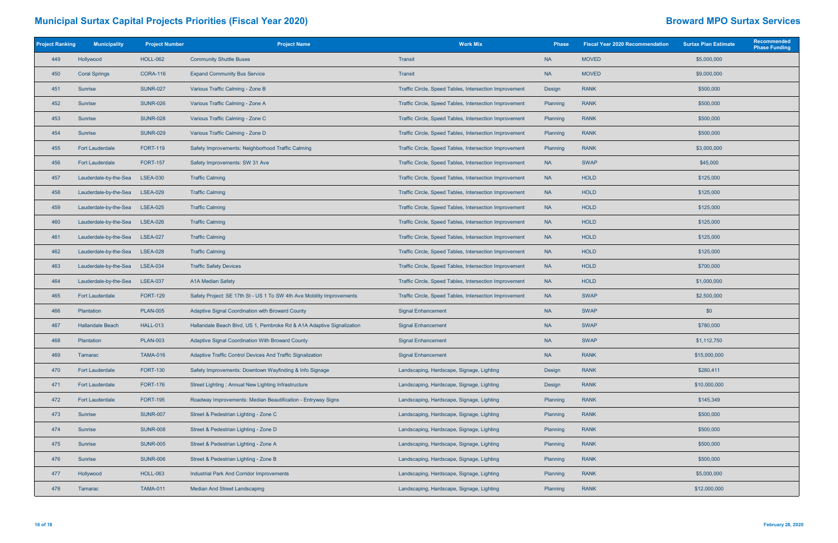| <b>Project Ranking</b> | <b>Municipality</b>     | <b>Project Number</b> | <b>Project Name</b>                                                   | <b>Work Mix</b>                                        | <b>Phase</b> | <b>Fiscal Year 2020 Recommendation</b> | <b>Surtax Plan Estimate</b> | Recommended<br><b>Phase Funding</b> |
|------------------------|-------------------------|-----------------------|-----------------------------------------------------------------------|--------------------------------------------------------|--------------|----------------------------------------|-----------------------------|-------------------------------------|
| 449                    | Hollywood               | <b>HOLL-062</b>       | <b>Community Shuttle Buses</b>                                        | Transit                                                | <b>NA</b>    | <b>MOVED</b>                           | \$5,000,000                 |                                     |
| 450                    | <b>Coral Springs</b>    | <b>CORA-116</b>       | <b>Expand Community Bus Service</b>                                   | Transit                                                | <b>NA</b>    | <b>MOVED</b><br>\$9,000,000            |                             |                                     |
| 451                    | Sunrise                 | <b>SUNR-027</b>       | Various Traffic Calming - Zone B                                      | Traffic Circle, Speed Tables, Intersection Improvement | Design       | <b>RANK</b>                            | \$500,000                   |                                     |
| 452                    | Sunrise                 | <b>SUNR-026</b>       | Various Traffic Calming - Zone A                                      | Traffic Circle, Speed Tables, Intersection Improvement | Planning     | <b>RANK</b>                            | \$500,000                   |                                     |
| 453                    | Sunrise                 | <b>SUNR-028</b>       | Various Traffic Calming - Zone C                                      | Traffic Circle, Speed Tables, Intersection Improvement | Planning     | <b>RANK</b>                            | \$500,000                   |                                     |
| 454                    | <b>Sunrise</b>          | <b>SUNR-029</b>       | Various Traffic Calming - Zone D                                      | Traffic Circle, Speed Tables, Intersection Improvement | Planning     | <b>RANK</b>                            | \$500,000                   |                                     |
| 455                    | <b>Fort Lauderdale</b>  | <b>FORT-119</b>       | Safety Improvements: Neighborhood Traffic Calming                     | Traffic Circle, Speed Tables, Intersection Improvement | Planning     | <b>RANK</b>                            | \$3,000,000                 |                                     |
| 456                    | <b>Fort Lauderdale</b>  | <b>FORT-157</b>       | Safety Improvements: SW 31 Ave                                        | Traffic Circle, Speed Tables, Intersection Improvement | <b>NA</b>    | <b>SWAP</b>                            | \$45,000                    |                                     |
| 457                    | Lauderdale-by-the-Sea   | <b>LSEA-030</b>       | <b>Traffic Calming</b>                                                | Traffic Circle, Speed Tables, Intersection Improvement | <b>NA</b>    | <b>HOLD</b>                            | \$125,000                   |                                     |
| 458                    | Lauderdale-by-the-Sea   | <b>LSEA-029</b>       | <b>Traffic Calming</b>                                                | Traffic Circle, Speed Tables, Intersection Improvement | <b>NA</b>    | <b>HOLD</b>                            | \$125,000                   |                                     |
| 459                    | Lauderdale-by-the-Sea   | <b>LSEA-025</b>       | <b>Traffic Calming</b>                                                | Traffic Circle, Speed Tables, Intersection Improvement | <b>NA</b>    | <b>HOLD</b>                            | \$125,000                   |                                     |
| 460                    | Lauderdale-by-the-Sea   | <b>LSEA-026</b>       | <b>Traffic Calming</b>                                                | Traffic Circle, Speed Tables, Intersection Improvement | <b>NA</b>    | <b>HOLD</b>                            | \$125,000                   |                                     |
| 461                    | Lauderdale-by-the-Sea   | <b>LSEA-027</b>       | <b>Traffic Calming</b>                                                | Traffic Circle, Speed Tables, Intersection Improvement | <b>NA</b>    | <b>HOLD</b>                            | \$125,000                   |                                     |
| 462                    | Lauderdale-by-the-Sea   | <b>LSEA-028</b>       | <b>Traffic Calming</b>                                                | Traffic Circle, Speed Tables, Intersection Improvement | <b>NA</b>    | <b>HOLD</b>                            | \$125,000                   |                                     |
| 463                    | Lauderdale-by-the-Sea   | <b>LSEA-034</b>       | <b>Traffic Safety Devices</b>                                         | Traffic Circle, Speed Tables, Intersection Improvement | <b>NA</b>    | <b>HOLD</b>                            | \$700,000                   |                                     |
| 464                    | Lauderdale-by-the-Sea   | <b>LSEA-037</b>       | A1A Median Safety                                                     | Traffic Circle, Speed Tables, Intersection Improvement | <b>NA</b>    | <b>HOLD</b>                            | \$1,000,000                 |                                     |
| 465                    | <b>Fort Lauderdale</b>  | <b>FORT-129</b>       | Safety Project: SE 17th St - US 1 To SW 4th Ave Mobility Improvements | Traffic Circle, Speed Tables, Intersection Improvement | <b>NA</b>    | <b>SWAP</b>                            | \$2,500,000                 |                                     |
| 466                    | Plantation              | <b>PLAN-005</b>       | Adaptive Signal Coordination with Broward County                      | <b>Signal Enhancement</b>                              | <b>NA</b>    | <b>SWAP</b>                            | \$0                         |                                     |
| 467                    | <b>Hallandale Beach</b> | <b>HALL-013</b>       | Hallandale Beach Blvd, US 1, Pembroke Rd & A1A Adaptive Signalization | <b>Signal Enhancement</b>                              | <b>NA</b>    | <b>SWAP</b>                            | \$780,000                   |                                     |
| 468                    | Plantation              | <b>PLAN-003</b>       | Adaptive Signal Coordination With Broward County                      | <b>Signal Enhancement</b>                              | <b>NA</b>    | <b>SWAP</b>                            | \$1,112,750                 |                                     |
| 469                    | Tamarac                 | <b>TAMA-016</b>       | Adaptive Traffic Control Devices And Traffic Signalization            | <b>Signal Enhancement</b>                              | <b>NA</b>    | <b>RANK</b>                            | \$15,000,000                |                                     |
| 470                    | <b>Fort Lauderdale</b>  | <b>FORT-130</b>       | Safety Improvements: Downtown Wayfinding & Info Signage               | Landscaping, Hardscape, Signage, Lighting              | Design       | <b>RANK</b>                            | \$280,411                   |                                     |
| 471                    | <b>Fort Lauderdale</b>  | <b>FORT-176</b>       | Street Lighting: Annual New Lighting Infrastructure                   | Landscaping, Hardscape, Signage, Lighting              | Design       | <b>RANK</b>                            | \$10,000,000                |                                     |
| 472                    | <b>Fort Lauderdale</b>  | <b>FORT-195</b>       | Roadway Improvements: Median Beautification - Entryway Signs          | Landscaping, Hardscape, Signage, Lighting              | Planning     | <b>RANK</b>                            | \$145,349                   |                                     |
| 473                    | Sunrise                 | <b>SUNR-007</b>       | Street & Pedestrian Lighting - Zone C                                 | Landscaping, Hardscape, Signage, Lighting              | Planning     | <b>RANK</b>                            | \$500,000                   |                                     |
| 474                    | Sunrise                 | <b>SUNR-008</b>       | Street & Pedestrian Lighting - Zone D                                 | Landscaping, Hardscape, Signage, Lighting              | Planning     | <b>RANK</b>                            | \$500,000                   |                                     |
| 475                    | Sunrise                 | <b>SUNR-005</b>       | Street & Pedestrian Lighting - Zone A                                 | Landscaping, Hardscape, Signage, Lighting              | Planning     | <b>RANK</b>                            | \$500,000                   |                                     |
| 476                    | Sunrise                 | <b>SUNR-006</b>       | Street & Pedestrian Lighting - Zone B                                 | Landscaping, Hardscape, Signage, Lighting              | Planning     | <b>RANK</b>                            | \$500,000                   |                                     |
| 477                    | Hollywood               | <b>HOLL-063</b>       | <b>Industrial Park And Corridor Improvements</b>                      | Landscaping, Hardscape, Signage, Lighting              | Planning     | <b>RANK</b>                            | \$5,000,000                 |                                     |
| 478                    | Tamarac                 | <b>TAMA-011</b>       | Median And Street Landscaping                                         | Landscaping, Hardscape, Signage, Lighting              | Planning     | <b>RANK</b>                            | \$12,000,000                |                                     |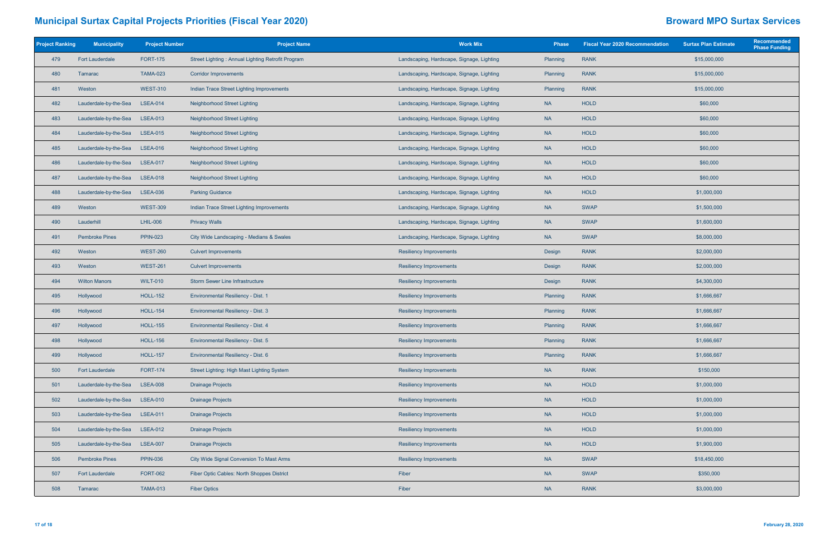| <b>Project Ranking</b> | <b>Municipality</b>    | <b>Project Number</b> | <b>Project Name</b>                               | <b>Work Mix</b>                           |           | <b>Fiscal Year 2020 Recommendation</b> | <b>Surtax Plan Estimate</b> | Recommended<br><b>Phase Funding</b> |
|------------------------|------------------------|-----------------------|---------------------------------------------------|-------------------------------------------|-----------|----------------------------------------|-----------------------------|-------------------------------------|
| 479                    | <b>Fort Lauderdale</b> | <b>FORT-175</b>       | Street Lighting: Annual Lighting Retrofit Program | Landscaping, Hardscape, Signage, Lighting | Planning  | <b>RANK</b>                            | \$15,000,000                |                                     |
| 480                    | Tamarac                | <b>TAMA-023</b>       | <b>Corridor Improvements</b>                      | Landscaping, Hardscape, Signage, Lighting | Planning  | <b>RANK</b>                            | \$15,000,000                |                                     |
| 481                    | Weston                 | <b>WEST-310</b>       | Indian Trace Street Lighting Improvements         | Landscaping, Hardscape, Signage, Lighting | Planning  | <b>RANK</b>                            | \$15,000,000                |                                     |
| 482                    | Lauderdale-by-the-Sea  | <b>LSEA-014</b>       | Neighborhood Street Lighting                      | Landscaping, Hardscape, Signage, Lighting | <b>NA</b> | <b>HOLD</b>                            | \$60,000                    |                                     |
| 483                    | Lauderdale-by-the-Sea  | <b>LSEA-013</b>       | Neighborhood Street Lighting                      | Landscaping, Hardscape, Signage, Lighting | <b>NA</b> | HOLD                                   | \$60,000                    |                                     |
| 484                    | Lauderdale-by-the-Sea  | <b>LSEA-015</b>       | <b>Neighborhood Street Lighting</b>               | Landscaping, Hardscape, Signage, Lighting | <b>NA</b> | <b>HOLD</b>                            | \$60,000                    |                                     |
| 485                    | Lauderdale-by-the-Sea  | <b>LSEA-016</b>       | Neighborhood Street Lighting                      | Landscaping, Hardscape, Signage, Lighting | <b>NA</b> | <b>HOLD</b>                            | \$60,000                    |                                     |
| 486                    | Lauderdale-by-the-Sea  | <b>LSEA-017</b>       | <b>Neighborhood Street Lighting</b>               | Landscaping, Hardscape, Signage, Lighting | <b>NA</b> | <b>HOLD</b>                            | \$60,000                    |                                     |
| 487                    | Lauderdale-by-the-Sea  | <b>LSEA-018</b>       | Neighborhood Street Lighting                      | Landscaping, Hardscape, Signage, Lighting | <b>NA</b> | HOLD                                   | \$60,000                    |                                     |
| 488                    | Lauderdale-by-the-Sea  | <b>LSEA-036</b>       | <b>Parking Guidance</b>                           | Landscaping, Hardscape, Signage, Lighting | <b>NA</b> | HOLD                                   | \$1,000,000                 |                                     |
| 489                    | Weston                 | <b>WEST-309</b>       | Indian Trace Street Lighting Improvements         | Landscaping, Hardscape, Signage, Lighting | <b>NA</b> | <b>SWAP</b>                            | \$1,500,000                 |                                     |
| 490                    | Lauderhill             | <b>LHIL-006</b>       | <b>Privacy Walls</b>                              | Landscaping, Hardscape, Signage, Lighting | <b>NA</b> | <b>SWAP</b>                            | \$1,600,000                 |                                     |
| 491                    | <b>Pembroke Pines</b>  | <b>PPIN-023</b>       | City Wide Landscaping - Medians & Swales          | Landscaping, Hardscape, Signage, Lighting | <b>NA</b> | <b>SWAP</b>                            | \$8,000,000                 |                                     |
| 492                    | Weston                 | <b>WEST-260</b>       | <b>Culvert Improvements</b>                       | <b>Resiliency Improvements</b>            | Design    | <b>RANK</b>                            | \$2,000,000                 |                                     |
| 493                    | Weston                 | <b>WEST-261</b>       | <b>Culvert Improvements</b>                       | <b>Resiliency Improvements</b>            | Design    | <b>RANK</b>                            | \$2,000,000                 |                                     |
| 494                    | <b>Wilton Manors</b>   | <b>WILT-010</b>       | <b>Storm Sewer Line Infrastructure</b>            | <b>Resiliency Improvements</b>            | Design    | <b>RANK</b>                            | \$4,300,000                 |                                     |
| 495                    | Hollywood              | <b>HOLL-152</b>       | <b>Environmental Resiliency - Dist. 1</b>         | <b>Resiliency Improvements</b>            | Planning  | <b>RANK</b>                            | \$1,666,667                 |                                     |
| 496                    | Hollywood              | <b>HOLL-154</b>       | Environmental Resiliency - Dist. 3                | <b>Resiliency Improvements</b>            | Planning  | <b>RANK</b>                            | \$1,666,667                 |                                     |
| 497                    | Hollywood              | <b>HOLL-155</b>       | <b>Environmental Resiliency - Dist. 4</b>         | <b>Resiliency Improvements</b>            | Planning  | <b>RANK</b>                            | \$1,666,667                 |                                     |
| 498                    | Hollywood              | <b>HOLL-156</b>       | <b>Environmental Resiliency - Dist. 5</b>         | <b>Resiliency Improvements</b>            | Planning  | <b>RANK</b>                            | \$1,666,667                 |                                     |
| 499                    | Hollywood              | <b>HOLL-157</b>       | Environmental Resiliency - Dist. 6                | <b>Resiliency Improvements</b>            | Planning  | <b>RANK</b>                            | \$1,666,667                 |                                     |
| 500                    | <b>Fort Lauderdale</b> | <b>FORT-174</b>       | Street Lighting: High Mast Lighting System        | <b>Resiliency Improvements</b>            | <b>NA</b> | <b>RANK</b>                            | \$150,000                   |                                     |
| 501                    | Lauderdale-by-the-Sea  | <b>LSEA-008</b>       | <b>Drainage Projects</b>                          | <b>Resiliency Improvements</b>            | <b>NA</b> | <b>HOLD</b>                            | \$1,000,000                 |                                     |
| 502                    | Lauderdale-by-the-Sea  | <b>LSEA-010</b>       | <b>Drainage Projects</b>                          | <b>Resiliency Improvements</b>            | <b>NA</b> | <b>HOLD</b>                            | \$1,000,000                 |                                     |
| 503                    | Lauderdale-by-the-Sea  | <b>LSEA-011</b>       | <b>Drainage Projects</b>                          | <b>Resiliency Improvements</b>            | <b>NA</b> | HOLD                                   | \$1,000,000                 |                                     |
| 504                    | Lauderdale-by-the-Sea  | <b>LSEA-012</b>       | <b>Drainage Projects</b>                          | <b>Resiliency Improvements</b>            | <b>NA</b> | <b>HOLD</b>                            | \$1,000,000                 |                                     |
| 505                    | Lauderdale-by-the-Sea  | <b>LSEA-007</b>       | <b>Drainage Projects</b>                          | <b>Resiliency Improvements</b>            | <b>NA</b> | <b>HOLD</b>                            | \$1,900,000                 |                                     |
| 506                    | <b>Pembroke Pines</b>  | <b>PPIN-036</b>       | City Wide Signal Conversion To Mast Arms          | <b>Resiliency Improvements</b>            | <b>NA</b> | <b>SWAP</b>                            | \$18,450,000                |                                     |
| 507                    | <b>Fort Lauderdale</b> | <b>FORT-062</b>       | Fiber Optic Cables: North Shoppes District        | Fiber                                     | <b>NA</b> | <b>SWAP</b>                            | \$350,000                   |                                     |
| 508                    | Tamarac                | <b>TAMA-013</b>       | <b>Fiber Optics</b>                               | Fiber                                     | <b>NA</b> | <b>RANK</b>                            | \$3,000,000                 |                                     |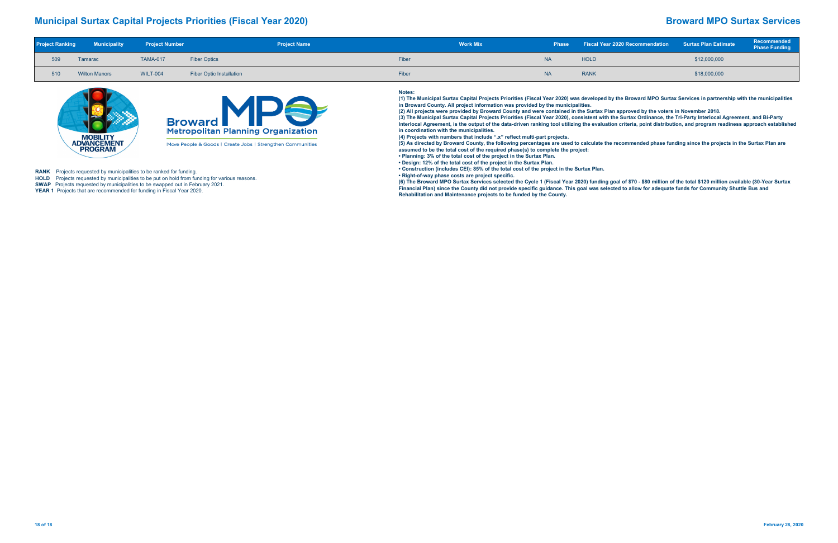|     | <b>Project Ranking Municipality Project Number</b> |                 |                                 | <b>Project Name</b> |       | <b>Work Mix</b> |           | Phase Fiscal Year 2020 Recommendation Surtax Plan Estimate |              | <b>Recommended</b><br>Phase Funding |
|-----|----------------------------------------------------|-----------------|---------------------------------|---------------------|-------|-----------------|-----------|------------------------------------------------------------|--------------|-------------------------------------|
|     | Tamarac                                            | <b>TAMA-017</b> | <b>Fiber Optics</b>             |                     | Fiber |                 | <b>NA</b> | <b>HOLD</b>                                                | \$12,000,000 |                                     |
| 510 | <b>Wilton Manors</b>                               | <b>WILT-004</b> | <b>Fiber Optic Installation</b> |                     | Fiber |                 | <b>NA</b> | <b>RANK</b>                                                | \$18,000,000 |                                     |



**HOLD** Projects requested by municipalities to be put on hold from funding for various reasons. **SWAP** Projects requested by municipalities to be swapped out in February 2021.

**YEAR 1** Projects that are recommended for funding in Fiscal Year 2020.

### **Notes:**

**(6) The Broward MPO Surtax Services selected the Cycle 1 (Fiscal Year 2020) funding goal of \$70 - \$80 million of the total \$120 million available (30-Year Surtax**  Financial Plan) since the County did not provide specific guidance. This goal was selected to allow for adequate funds for Community Shuttle Bus and

 **(1) The Municipal Surtax Capital Projects Priorities (Fiscal Year 2020) was developed by the Broward MPO Surtax Services in partnership with the municipalities in Broward County. All project information was provided by the municipalities. (2) All projects were provided by Broward County and were contained in the Surtax Plan approved by the voters in November 2018. (3) The Municipal Surtax Capital Projects Priorities (Fiscal Year 2020), consistent with the Surtax Ordinance, the Tri-Party Interlocal Agreement, and Bi-Party Interlocal Agreement, is the output of the data-driven ranking tool utilizing the evaluation criteria, point distribution, and program readiness approach established** 

**in coordination with the municipalities.**

**(4) Projects with numbers that include ".x" reflect multi-part projects.**

**(5) As directed by Broward County, the following percentages are used to calculate the recommended phase funding since the projects in the Surtax Plan are assumed to be the total cost of the required phase(s) to complete the project:** 

**• Planning: 3% of the total cost of the project in the Surtax Plan.**

**• Design: 12% of the total cost of the project in the Surtax Plan.**

**• Construction (includes CEI): 85% of the total cost of the project in the Surtax Plan. • Right-of-way phase costs are project specific.**

**Rehabilitation and Maintenance projects to be funded by the County.** 

**RANK** Projects requested by municipalities to be ranked for funding.